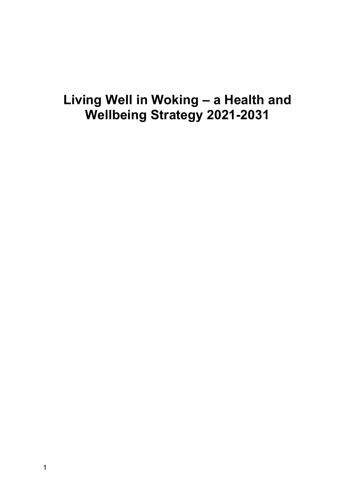# **Living Well in Woking – a Health and Wellbeing Strategy 2021-2031**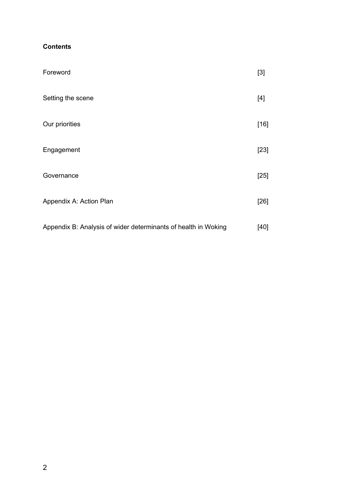# **Contents**

| Foreword                                                       | $[3]$  |
|----------------------------------------------------------------|--------|
| Setting the scene                                              | $[4]$  |
| Our priorities                                                 | $[16]$ |
| Engagement                                                     | $[23]$ |
| Governance                                                     | $[25]$ |
| Appendix A: Action Plan                                        | $[26]$ |
| Appendix B: Analysis of wider determinants of health in Woking | [40]   |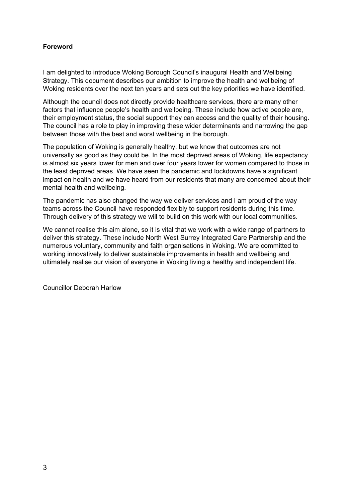## **Foreword**

I am delighted to introduce Woking Borough Council's inaugural Health and Wellbeing Strategy. This document describes our ambition to improve the health and wellbeing of Woking residents over the next ten years and sets out the key priorities we have identified.

Although the council does not directly provide healthcare services, there are many other factors that influence people's health and wellbeing. These include how active people are, their employment status, the social support they can access and the quality of their housing. The council has a role to play in improving these wider determinants and narrowing the gap between those with the best and worst wellbeing in the borough.

The population of Woking is generally healthy, but we know that outcomes are not universally as good as they could be. In the most deprived areas of Woking, life expectancy is almost six years lower for men and over four years lower for women compared to those in the least deprived areas. We have seen the pandemic and lockdowns have a significant impact on health and we have heard from our residents that many are concerned about their mental health and wellbeing.

The pandemic has also changed the way we deliver services and I am proud of the way teams across the Council have responded flexibly to support residents during this time. Through delivery of this strategy we will to build on this work with our local communities.

We cannot realise this aim alone, so it is vital that we work with a wide range of partners to deliver this strategy. These include North West Surrey Integrated Care Partnership and the numerous voluntary, community and faith organisations in Woking. We are committed to working innovatively to deliver sustainable improvements in health and wellbeing and ultimately realise our vision of everyone in Woking living a healthy and independent life.

Councillor Deborah Harlow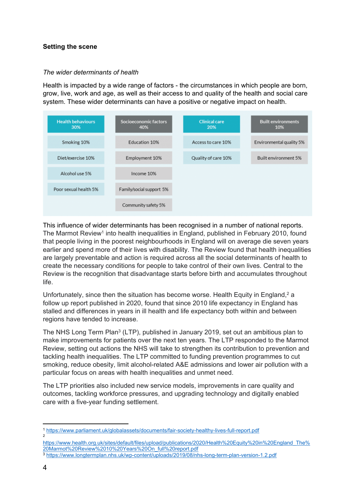## **Setting the scene**

## *The wider determinants of health*

Health is impacted by a wide range of factors - the circumstances in which people are born, grow, live, work and age, as well as their access to and quality of the health and social care system. These wider determinants can have a positive or negative impact on health.



This influence of wider determinants has been recognised in a number of national reports. The Marmot Review<sup>1</sup> into health inequalities in England, published in February 2010, found that people living in the poorest neighbourhoods in England will on average die seven years earlier and spend more of their lives with disability. The Review found that health inequalities are largely preventable and action is required across all the social determinants of health to create the necessary conditions for people to take control of their own lives. Central to the Review is the recognition that disadvantage starts before birth and accumulates throughout life.

Unfortunately, since then the situation has become worse. Health Equity in England,<sup>2</sup> a follow up report published in 2020, found that since 2010 life expectancy in England has stalled and differences in years in ill health and life expectancy both within and between regions have tended to increase.

The NHS Long Term Plan<sup>3</sup> (LTP), published in January 2019, set out an ambitious plan to make improvements for patients over the next ten years. The LTP responded to the Marmot Review, setting out actions the NHS will take to strengthen its contribution to prevention and tackling health inequalities. The LTP committed to funding prevention programmes to cut smoking, reduce obesity, limit alcohol-related A&E admissions and lower air pollution with a particular focus on areas with health inequalities and unmet need.

The LTP priorities also included new service models, improvements in care quality and outcomes, tackling workforce pressures, and upgrading technology and digitally enabled care with a five-year funding settlement.

<sup>1</sup> <https://www.parliament.uk/globalassets/documents/fair-society-healthy-lives-full-report.pdf> 2

[https://www.health.org.uk/sites/default/files/upload/publications/2020/Health%20Equity%20in%20England\\_The%](https://www.health.org.uk/sites/default/files/upload/publications/2020/Health%20Equity%20in%20England_The%20Marmot%20Review%2010%20Years%20On_full%20report.pdf) [20Marmot%20Review%2010%20Years%20On\\_full%20report.pdf](https://www.health.org.uk/sites/default/files/upload/publications/2020/Health%20Equity%20in%20England_The%20Marmot%20Review%2010%20Years%20On_full%20report.pdf)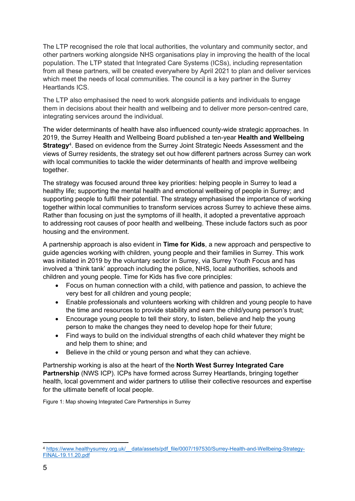The LTP recognised the role that local authorities, the voluntary and community sector, and other partners working alongside NHS organisations play in improving the health of the local population. The LTP stated that Integrated Care Systems (ICSs), including representation from all these partners, will be created everywhere by April 2021 to plan and deliver services which meet the needs of local communities. The council is a key partner in the Surrey Heartlands ICS.

The LTP also emphasised the need to work alongside patients and individuals to engage them in decisions about their health and wellbeing and to deliver more person-centred care, integrating services around the individual.

The wider determinants of health have also influenced county-wide strategic approaches. In 2019, the Surrey Health and Wellbeing Board published a ten-year **Health and Wellbeing Strategy**<sup>4</sup> . Based on evidence from the Surrey Joint Strategic Needs Assessment and the views of Surrey residents, the strategy set out how different partners across Surrey can work with local communities to tackle the wider determinants of health and improve wellbeing together.

The strategy was focused around three key priorities: helping people in Surrey to lead a healthy life; supporting the mental health and emotional wellbeing of people in Surrey; and supporting people to fulfil their potential. The strategy emphasised the importance of working together within local communities to transform services across Surrey to achieve these aims. Rather than focusing on just the symptoms of ill health, it adopted a preventative approach to addressing root causes of poor health and wellbeing. These include factors such as poor housing and the environment.

A partnership approach is also evident in **Time for Kids**, a new approach and perspective to guide agencies working with children, young people and their families in Surrey. This work was initiated in 2019 by the voluntary sector in Surrey, via Surrey Youth Focus and has involved a 'think tank' approach including the police, NHS, local authorities, schools and children and young people. Time for Kids has five core principles:

- Focus on human connection with a child, with patience and passion, to achieve the very best for all children and young people;
- Enable professionals and volunteers working with children and young people to have the time and resources to provide stability and earn the child/young person's trust;
- Encourage young people to tell their story, to listen, believe and help the young person to make the changes they need to develop hope for their future;
- Find ways to build on the individual strengths of each child whatever they might be and help them to shine; and
- Believe in the child or young person and what they can achieve.

Partnership working is also at the heart of the **North West Surrey Integrated Care Partnership** (NWS ICP). ICPs have formed across Surrey Heartlands, bringing together health, local government and wider partners to utilise their collective resources and expertise for the ultimate benefit of local people.

Figure 1: Map showing Integrated Care Partnerships in Surrey

<sup>4</sup> [https://www.healthysurrey.org.uk/\\_\\_data/assets/pdf\\_file/0007/197530/Surrey-Health-and-Wellbeing-Strategy-](https://www.healthysurrey.org.uk/__data/assets/pdf_file/0007/197530/Surrey-Health-and-Wellbeing-Strategy-FINAL-19.11.20.pdf)[FINAL-19.11.20.pdf](https://www.healthysurrey.org.uk/__data/assets/pdf_file/0007/197530/Surrey-Health-and-Wellbeing-Strategy-FINAL-19.11.20.pdf)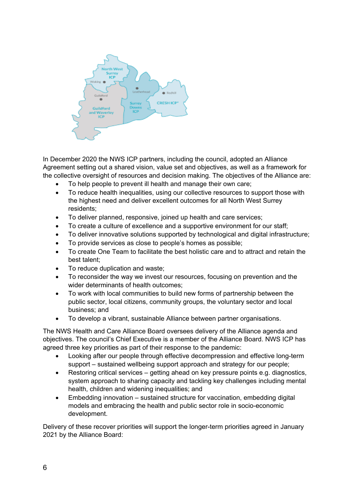

In December 2020 the NWS ICP partners, including the council, adopted an Alliance Agreement setting out a shared vision, value set and objectives, as well as a framework for the collective oversight of resources and decision making. The objectives of the Alliance are:

- To help people to prevent ill health and manage their own care;
- To reduce health inequalities, using our collective resources to support those with the highest need and deliver excellent outcomes for all North West Surrey residents;
- To deliver planned, responsive, joined up health and care services;
- To create a culture of excellence and a supportive environment for our staff;
- To deliver innovative solutions supported by technological and digital infrastructure;
- To provide services as close to people's homes as possible;
- To create One Team to facilitate the best holistic care and to attract and retain the best talent;
- To reduce duplication and waste;
- To reconsider the way we invest our resources, focusing on prevention and the wider determinants of health outcomes;
- To work with local communities to build new forms of partnership between the public sector, local citizens, community groups, the voluntary sector and local business; and
- To develop a vibrant, sustainable Alliance between partner organisations.

The NWS Health and Care Alliance Board oversees delivery of the Alliance agenda and objectives. The council's Chief Executive is a member of the Alliance Board. NWS ICP has agreed three key priorities as part of their response to the pandemic:

- Looking after our people through effective decompression and effective long-term support – sustained wellbeing support approach and strategy for our people;
- Restoring critical services getting ahead on key pressure points e.g. diagnostics, system approach to sharing capacity and tackling key challenges including mental health, children and widening inequalities; and
- Embedding innovation sustained structure for vaccination, embedding digital models and embracing the health and public sector role in socio-economic development.

Delivery of these recover priorities will support the longer-term priorities agreed in January 2021 by the Alliance Board: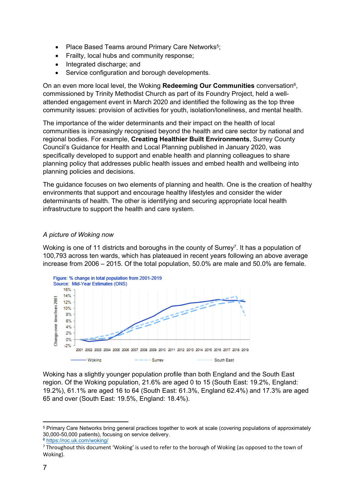- Place Based Teams around Primary Care Networks<sup>5</sup>;
- Frailty, local hubs and community response;
- Integrated discharge; and
- Service configuration and borough developments.

On an even more local level, the Woking **Redeeming Our Communities** conversation<sup>6</sup> , commissioned by Trinity Methodist Church as part of its Foundry Project, held a wellattended engagement event in March 2020 and identified the following as the top three community issues: provision of activities for youth, isolation/loneliness, and mental health.

The importance of the wider determinants and their impact on the health of local communities is increasingly recognised beyond the health and care sector by national and regional bodies. For example, **Creating Healthier Built Environments**, Surrey County Council's Guidance for Health and Local Planning published in January 2020, was specifically developed to support and enable health and planning colleagues to share planning policy that addresses public health issues and embed health and wellbeing into planning policies and decisions.

The guidance focuses on two elements of planning and health. One is the creation of healthy environments that support and encourage healthy lifestyles and consider the wider determinants of health. The other is identifying and securing appropriate local health infrastructure to support the health and care system.

## *A picture of Woking now*

Woking is one of 11 districts and boroughs in the county of Surrey<sup>7</sup>. It has a population of 100,793 across ten wards, which has plateaued in recent years following an above average increase from 2006 – 2015. Of the total population, 50.0% are male and 50.0% are female.



Woking has a slightly younger population profile than both England and the South East region. Of the Woking population, 21.6% are aged 0 to 15 (South East: 19.2%, England: 19.2%), 61.1% are aged 16 to 64 (South East: 61.3%, England 62.4%) and 17.3% are aged 65 and over (South East: 19.5%, England: 18.4%).

<sup>5</sup> Primary Care Networks bring general practices together to work at scale (covering populations of approximately 30,000-50,000 patients), focusing on service delivery.

<sup>6</sup> <https://roc.uk.com/woking/>

<sup>7</sup> Throughout this document 'Woking' is used to refer to the borough of Woking (as opposed to the town of Woking).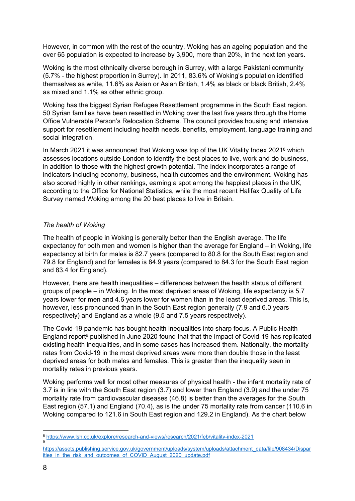However, in common with the rest of the country, Woking has an ageing population and the over 65 population is expected to increase by 3,900, more than 20%, in the next ten years.

Woking is the most ethnically diverse borough in Surrey, with a large Pakistani community (5.7% - the highest proportion in Surrey). In 2011, 83.6% of Woking's population identified themselves as white, 11.6% as Asian or Asian British, 1.4% as black or black British, 2.4% as mixed and 1.1% as other ethnic group.

Woking has the biggest Syrian Refugee Resettlement programme in the South East region. 50 Syrian families have been resettled in Woking over the last five years through the Home Office Vulnerable Person's Relocation Scheme. The council provides housing and intensive support for resettlement including health needs, benefits, employment, language training and social integration.

In March 2021 it was announced that Woking was top of the UK Vitality Index 2021<sup>8</sup> which assesses locations outside London to identify the best places to live, work and do business, in addition to those with the highest growth potential. The index incorporates a range of indicators including economy, business, health outcomes and the environment. Woking has also scored highly in other rankings, earning a spot among the happiest places in the UK, according to the Office for National Statistics, while the most recent Halifax Quality of Life Survey named Woking among the 20 best places to live in Britain.

## *The health of Woking*

The health of people in Woking is generally better than the English average. The life expectancy for both men and women is higher than the average for England – in Woking, life expectancy at birth for males is 82.7 years (compared to 80.8 for the South East region and 79.8 for England) and for females is 84.9 years (compared to 84.3 for the South East region and 83.4 for England).

However, there are health inequalities – differences between the health status of different groups of people – in Woking. In the most deprived areas of Woking, life expectancy is 5.7 years lower for men and 4.6 years lower for women than in the least deprived areas. This is, however, less pronounced than in the South East region generally (7.9 and 6.0 years respectively) and England as a whole (9.5 and 7.5 years respectively).

The Covid-19 pandemic has bought health inequalities into sharp focus. A Public Health England report<sup>9</sup> published in June 2020 found that that the impact of Covid-19 has replicated existing health inequalities, and in some cases has increased them. Nationally, the mortality rates from Covid-19 in the most deprived areas were more than double those in the least deprived areas for both males and females. This is greater than the inequality seen in mortality rates in previous years.

Woking performs well for most other measures of physical health - the infant mortality rate of 3.7 is in line with the South East region (3.7) and lower than England (3.9) and the under 75 mortality rate from cardiovascular diseases (46.8) is better than the averages for the South East region (57.1) and England (70.4), as is the under 75 mortality rate from cancer (110.6 in Woking compared to 121.6 in South East region and 129.2 in England). As the chart below

9

<sup>8</sup> <https://www.lsh.co.uk/explore/research-and-views/research/2021/feb/vitality-index-2021>

[https://assets.publishing.service.gov.uk/government/uploads/system/uploads/attachment\\_data/file/908434/Dispar](https://assets.publishing.service.gov.uk/government/uploads/system/uploads/attachment_data/file/908434/Disparities_in_the_risk_and_outcomes_of_COVID_August_2020_update.pdf) [ities\\_in\\_the\\_risk\\_and\\_outcomes\\_of\\_COVID\\_August\\_2020\\_update.pdf](https://assets.publishing.service.gov.uk/government/uploads/system/uploads/attachment_data/file/908434/Disparities_in_the_risk_and_outcomes_of_COVID_August_2020_update.pdf)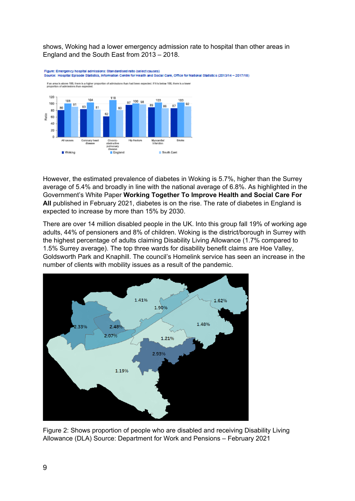shows, Woking had a lower emergency admission rate to hospital than other areas in England and the South East from 2013 – 2018.



However, the estimated prevalence of diabetes in Woking is 5.7%, higher than the Surrey average of 5.4% and broadly in line with the national average of 6.8%. As highlighted in the Government's White Paper **Working Together To Improve Health and Social Care For All** published in February 2021, diabetes is on the rise. The rate of diabetes in England is expected to increase by more than 15% by 2030.

There are over 14 million disabled people in the UK. Into this group fall 19% of working age adults, 44% of pensioners and 8% of children. Woking is the district/borough in Surrey with the highest percentage of adults claiming Disability Living Allowance (1.7% compared to 1.5% Surrey average). The top three wards for disability benefit claims are Hoe Valley, Goldsworth Park and Knaphill. The council's Homelink service has seen an increase in the number of clients with mobility issues as a result of the pandemic.



Figure 2: Shows proportion of people who are disabled and receiving Disability Living Allowance (DLA) Source: Department for Work and Pensions – February 2021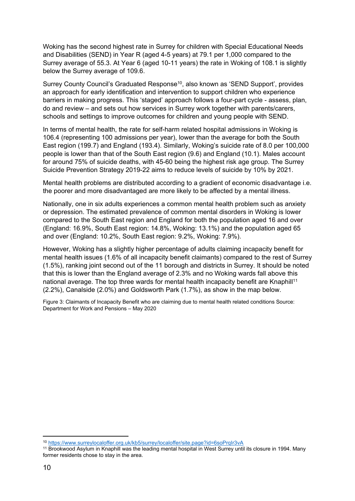Woking has the second highest rate in Surrey for children with Special Educational Needs and Disabilities (SEND) in Year R (aged 4-5 years) at 79.1 per 1,000 compared to the Surrey average of 55.3. At Year 6 (aged 10-11 years) the rate in Woking of 108.1 is slightly below the Surrey average of 109.6.

Surrey County Council's Graduated Response<sup>10</sup>, also known as 'SEND Support', provides an approach for early identification and intervention to support children who experience barriers in making progress. This 'staged' approach follows a four-part cycle - assess, plan, do and review – and sets out how services in Surrey work together with parents/carers, schools and settings to improve outcomes for children and young people with SEND.

In terms of mental health, the rate for self-harm related hospital admissions in Woking is 106.4 (representing 100 admissions per year), lower than the average for both the South East region (199.7) and England (193.4). Similarly, Woking's suicide rate of 8.0 per 100,000 people is lower than that of the South East region (9.6) and England (10.1). Males account for around 75% of suicide deaths, with 45-60 being the highest risk age group. The Surrey Suicide Prevention Strategy 2019-22 aims to reduce levels of suicide by 10% by 2021.

Mental health problems are distributed according to a gradient of economic disadvantage i.e. the poorer and more disadvantaged are more likely to be affected by a mental illness.

Nationally, one in six adults experiences a common mental health problem such as anxiety or depression. The estimated prevalence of common mental disorders in Woking is lower compared to the South East region and England for both the population aged 16 and over (England: 16.9%, South East region: 14.8%, Woking: 13.1%) and the population aged 65 and over (England: 10.2%, South East region: 9.2%, Woking: 7.9%).

However, Woking has a slightly higher percentage of adults claiming incapacity benefit for mental health issues (1.6% of all incapacity benefit claimants) compared to the rest of Surrey (1.5%), ranking joint second out of the 11 borough and districts in Surrey. It should be noted that this is lower than the England average of 2.3% and no Woking wards fall above this national average. The top three wards for mental health incapacity benefit are Knaphill<sup>11</sup> (2.2%), Canalside (2.0%) and Goldsworth Park (1.7%), as show in the map below.

Figure 3: Claimants of Incapacity Benefit who are claiming due to mental health related conditions Source: Department for Work and Pensions – May 2020

<sup>10</sup> <https://www.surreylocaloffer.org.uk/kb5/surrey/localoffer/site.page?id=6soPrqIr3vA>

<sup>11</sup> Brookwood Asylum in Knaphill was the leading mental hospital in West Surrey until its closure in 1994. Many former residents chose to stay in the area.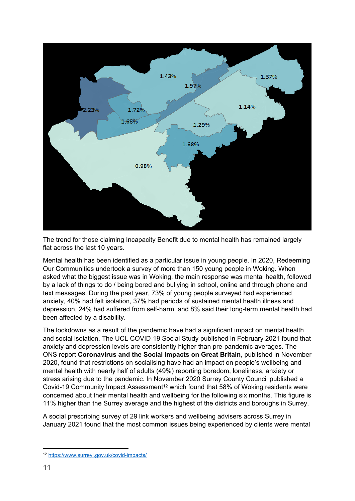

The trend for those claiming Incapacity Benefit due to mental health has remained largely flat across the last 10 years.

Mental health has been identified as a particular issue in young people. In 2020, Redeeming Our Communities undertook a survey of more than 150 young people in Woking. When asked what the biggest issue was in Woking, the main response was mental health, followed by a lack of things to do / being bored and bullying in school, online and through phone and text messages. During the past year, 73% of young people surveyed had experienced anxiety, 40% had felt isolation, 37% had periods of sustained mental health illness and depression, 24% had suffered from self-harm, and 8% said their long-term mental health had been affected by a disability.

The lockdowns as a result of the pandemic have had a significant impact on mental health and social isolation. The UCL COVID-19 Social Study published in February 2021 found that anxiety and depression levels are consistently higher than pre-pandemic averages. The ONS report **Coronavirus and the Social Impacts on Great Britain**, published in November 2020, found that restrictions on socialising have had an impact on people's wellbeing and mental health with nearly half of adults (49%) reporting boredom, loneliness, anxiety or stress arising due to the pandemic. In November 2020 Surrey County Council published a Covid-19 Community Impact Assessment<sup>12</sup> which found that 58% of Woking residents were concerned about their mental health and wellbeing for the following six months. This figure is 11% higher than the Surrey average and the highest of the districts and boroughs in Surrey.

A social prescribing survey of 29 link workers and wellbeing advisers across Surrey in January 2021 found that the most common issues being experienced by clients were mental

<sup>12</sup> <https://www.surreyi.gov.uk/covid-impacts/>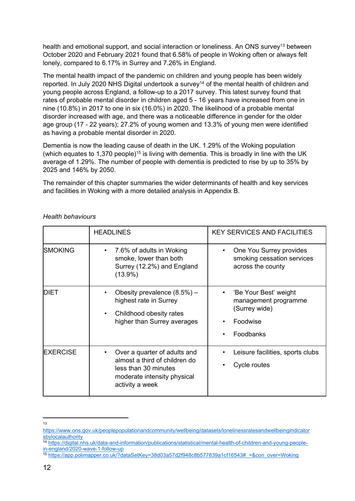health and emotional support, and social interaction or loneliness. An ONS survey<sup>13</sup> between October 2020 and February 2021 found that 6.58% of people in Woking often or always felt lonely, compared to 6.17% in Surrey and 7.26% in England.

The mental health impact of the pandemic on children and young people has been widely reported. In July 2020 NHS Digital undertook a survey<sup>14</sup> of the mental health of children and young people across England, a follow-up to a 2017 survey. This latest survey found that rates of probable mental disorder in children aged 5 - 16 years have increased from one in nine (10.8%) in 2017 to one in six (16.0%) in 2020. The likelihood of a probable mental disorder increased with age, and there was a noticeable difference in gender for the older age group (17 - 22 years); 27.2% of young women and 13.3% of young men were identified as having a probable mental disorder in 2020.

Dementia is now the leading cause of death in the UK. 1.29% of the Woking population (which equates to 1,370 people)<sup>15</sup> is living with dementia. This is broadly in line with the UK average of 1.29%. The number of people with dementia is predicted to rise by up to 35% by 2025 and 146% by 2050.

The remainder of this chapter summaries the wider determinants of health and key services and facilities in Woking with a more detailed analysis in Appendix B.

|                 | <b>HEADLINES</b>                                                                                                                        | <b>KEY SERVICES AND FACILITIES</b>                                                      |
|-----------------|-----------------------------------------------------------------------------------------------------------------------------------------|-----------------------------------------------------------------------------------------|
| ISMOKING        | 7.6% of adults in Woking<br>smoke, lower than both<br>Surrey (12.2%) and England<br>$(13.9\%)$                                          | One You Surrey provides<br>smoking cessation services<br>across the county              |
| <b>DIET</b>     | Obesity prevalence $(8.5%)$ –<br>highest rate in Surrey<br>Childhood obesity rates<br>higher than Surrey averages                       | 'Be Your Best' weight<br>management programme<br>(Surrey wide)<br>Foodwise<br>Foodbanks |
| <b>EXERCISE</b> | Over a quarter of adults and<br>almost a third of children do<br>less than 30 minutes<br>moderate intensity physical<br>activity a week | Leisure facilities, sports clubs<br>Cycle routes                                        |

#### *Health behaviours*

<sup>13</sup>

[https://www.ons.gov.uk/peoplepopulationandcommunity/wellbeing/datasets/lonelinessratesandwellbeingindicator](https://www.ons.gov.uk/peoplepopulationandcommunity/wellbeing/datasets/lonelinessratesandwellbeingindicatorsbylocalauthority) [sbylocalauthority](https://www.ons.gov.uk/peoplepopulationandcommunity/wellbeing/datasets/lonelinessratesandwellbeingindicatorsbylocalauthority)

<sup>14</sup> [https://digital.nhs.uk/data-and-information/publications/statistical/mental-health-of-children-and-young-people](https://digital.nhs.uk/data-and-information/publications/statistical/mental-health-of-children-and-young-people-in-england/2020-wave-1-follow-up)[in-england/2020-wave-1-follow-up](https://digital.nhs.uk/data-and-information/publications/statistical/mental-health-of-children-and-young-people-in-england/2020-wave-1-follow-up)

<sup>15</sup> [https://app.polimapper.co.uk/?dataSetKey=38d03a57d2f948c8b577839a1cf16543#\\_=&con\\_over=Woking](https://app.polimapper.co.uk/?dataSetKey=38d03a57d2f948c8b577839a1cf16543#_=&con_over=Woking)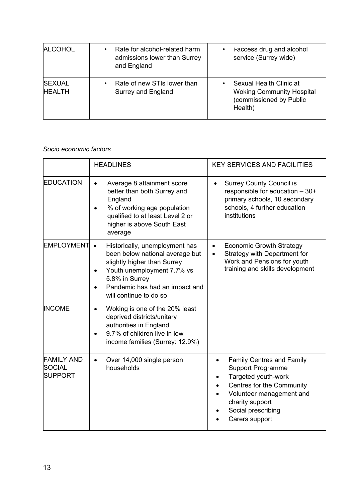| <b>ALCOHOL</b>                 | Rate for alcohol-related harm<br>$\bullet$<br>admissions lower than Surrey<br>and England | i-access drug and alcohol<br>service (Surrey wide)                                                |
|--------------------------------|-------------------------------------------------------------------------------------------|---------------------------------------------------------------------------------------------------|
| <b>SEXUAL</b><br><b>HEALTH</b> | Rate of new STIs lower than<br>$\bullet$<br>Surrey and England                            | Sexual Health Clinic at<br><b>Woking Community Hospital</b><br>(commissioned by Public<br>Health) |

## *Socio economic factors*

|                                                      | <b>HEADLINES</b>                                                                                                                                                                                                          | <b>KEY SERVICES AND FACILITIES</b>                                                                                                                                                                      |  |  |
|------------------------------------------------------|---------------------------------------------------------------------------------------------------------------------------------------------------------------------------------------------------------------------------|---------------------------------------------------------------------------------------------------------------------------------------------------------------------------------------------------------|--|--|
| <b>EDUCATION</b>                                     | Average 8 attainment score<br>$\bullet$<br>better than both Surrey and<br>England<br>% of working age population<br>qualified to at least Level 2 or<br>higher is above South East<br>average                             | <b>Surrey County Council is</b><br>$\bullet$<br>responsible for education - 30+<br>primary schools, 10 secondary<br>schools, 4 further education<br>institutions                                        |  |  |
| EMPLOYMENT                                           | Historically, unemployment has<br>$\bullet$<br>been below national average but<br>slightly higher than Surrey<br>Youth unemployment 7.7% vs<br>5.8% in Surrey<br>Pandemic has had an impact and<br>will continue to do so | <b>Economic Growth Strategy</b><br>Strategy with Department for<br>Work and Pensions for youth<br>training and skills development                                                                       |  |  |
| <b>INCOME</b>                                        | Woking is one of the 20% least<br>deprived districts/unitary<br>authorities in England<br>9.7% of children live in low<br>income families (Surrey: 12.9%)                                                                 |                                                                                                                                                                                                         |  |  |
| <b>FAMILY AND</b><br><b>SOCIAL</b><br><b>SUPPORT</b> | Over 14,000 single person<br>$\bullet$<br>households                                                                                                                                                                      | <b>Family Centres and Family</b><br><b>Support Programme</b><br>Targeted youth-work<br>Centres for the Community<br>Volunteer management and<br>charity support<br>Social prescribing<br>Carers support |  |  |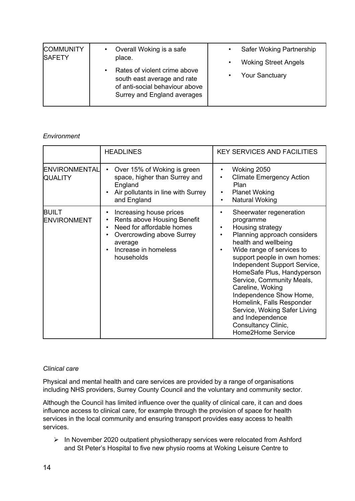| <b>COMMUNITY</b><br><b>SAFETY</b> | Overall Woking is a safe                                                                                                                  | Safer Woking Partnership                 |
|-----------------------------------|-------------------------------------------------------------------------------------------------------------------------------------------|------------------------------------------|
|                                   | place.                                                                                                                                    | <b>Woking Street Angels</b><br>$\bullet$ |
|                                   | Rates of violent crime above<br>$\bullet$<br>south east average and rate<br>of anti-social behaviour above<br>Surrey and England averages | <b>Your Sanctuary</b><br>$\bullet$       |

## *Environment*

|                                    | <b>HEADLINES</b>                                                                                                                                                  | <b>KEY SERVICES AND FACILITIES</b>                                                                                                                                                                                                                                                                                                                                                                                                                            |
|------------------------------------|-------------------------------------------------------------------------------------------------------------------------------------------------------------------|---------------------------------------------------------------------------------------------------------------------------------------------------------------------------------------------------------------------------------------------------------------------------------------------------------------------------------------------------------------------------------------------------------------------------------------------------------------|
| ENVIRONMENTAL<br><b>QUALITY</b>    | Over 15% of Woking is green<br>$\bullet$<br>space, higher than Surrey and<br>England<br>Air pollutants in line with Surrey<br>and England                         | Woking 2050<br>$\bullet$<br><b>Climate Emergency Action</b><br>Plan<br><b>Planet Woking</b><br>$\bullet$<br>Natural Woking<br>٠                                                                                                                                                                                                                                                                                                                               |
| <b>BUILT</b><br><b>ENVIRONMENT</b> | Increasing house prices<br>Rents above Housing Benefit<br>Need for affordable homes<br>Overcrowding above Surrey<br>average<br>Increase in homeless<br>households | Sheerwater regeneration<br>programme<br>Housing strategy<br>٠<br>Planning approach considers<br>٠<br>health and wellbeing<br>Wide range of services to<br>support people in own homes:<br>Independent Support Service,<br>HomeSafe Plus, Handyperson<br>Service, Community Meals,<br>Careline, Woking<br>Independence Show Home,<br>Homelink, Falls Responder<br>Service, Woking Safer Living<br>and Independence<br>Consultancy Clinic,<br>Home2Home Service |

#### *Clinical care*

Physical and mental health and care services are provided by a range of organisations including NHS providers, Surrey County Council and the voluntary and community sector.

Although the Council has limited influence over the quality of clinical care, it can and does influence access to clinical care, for example through the provision of space for health services in the local community and ensuring transport provides easy access to health services.

 $\triangleright$  In November 2020 outpatient physiotherapy services were relocated from Ashford and St Peter's Hospital to five new physio rooms at Woking Leisure Centre to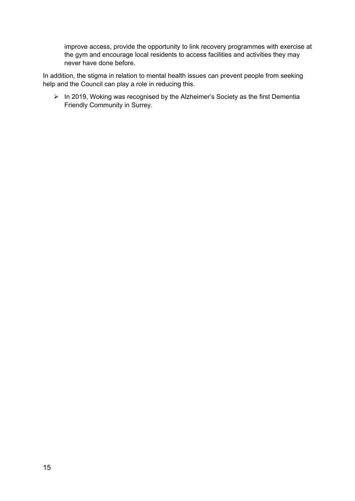improve access, provide the opportunity to link recovery programmes with exercise at the gym and encourage local residents to access facilities and activities they may never have done before.

In addition, the stigma in relation to mental health issues can prevent people from seeking help and the Council can play a role in reducing this.

 $\triangleright$  In 2019, Woking was recognised by the Alzheimer's Society as the first Dementia Friendly Community in Surrey.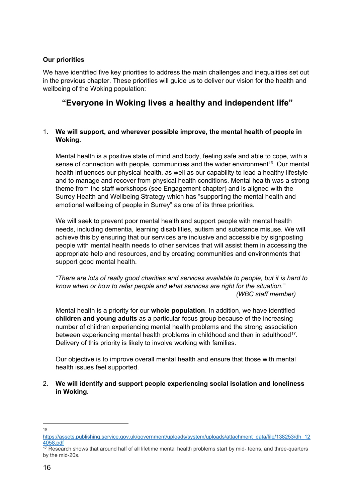#### **Our priorities**

We have identified five key priorities to address the main challenges and inequalities set out in the previous chapter. These priorities will guide us to deliver our vision for the health and wellbeing of the Woking population:

# **"Everyone in Woking lives a healthy and independent life"**

## 1. **We will support, and wherever possible improve, the mental health of people in Woking.**

Mental health is a positive state of mind and body, feeling safe and able to cope, with a sense of connection with people, communities and the wider environment<sup>16</sup>. Our mental health influences our physical health, as well as our capability to lead a healthy lifestyle and to manage and recover from physical health conditions. Mental health was a strong theme from the staff workshops (see Engagement chapter) and is aligned with the Surrey Health and Wellbeing Strategy which has "supporting the mental health and emotional wellbeing of people in Surrey" as one of its three priorities.

We will seek to prevent poor mental health and support people with mental health needs, including dementia, learning disabilities, autism and substance misuse. We will achieve this by ensuring that our services are inclusive and accessible by signposting people with mental health needs to other services that will assist them in accessing the appropriate help and resources, and by creating communities and environments that support good mental health.

*"There are lots of really good charities and services available to people, but it is hard to know when or how to refer people and what services are right for the situation." (WBC staff member)*

Mental health is a priority for our **whole population**. In addition, we have identified **children and young adults** as a particular focus group because of the increasing number of children experiencing mental health problems and the strong association between experiencing mental health problems in childhood and then in adulthood<sup>17</sup>. Delivery of this priority is likely to involve working with families.

Our objective is to improve overall mental health and ensure that those with mental health issues feel supported.

## 2. **We will identify and support people experiencing social isolation and loneliness in Woking.**

<sup>16</sup>

[https://assets.publishing.service.gov.uk/government/uploads/system/uploads/attachment\\_data/file/138253/dh\\_12](https://assets.publishing.service.gov.uk/government/uploads/system/uploads/attachment_data/file/138253/dh_124058.pdf) [4058.pdf](https://assets.publishing.service.gov.uk/government/uploads/system/uploads/attachment_data/file/138253/dh_124058.pdf)

<sup>17</sup> Research shows that around half of all lifetime mental health problems start by mid- teens, and three-quarters by the mid-20s.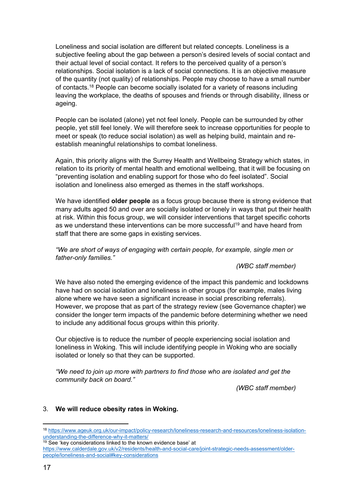Loneliness and social isolation are different but related concepts. Loneliness is a subjective feeling about the gap between a person's desired levels of social contact and their actual level of social contact. It refers to the perceived quality of a person's relationships. Social isolation is a lack of social connections. It is an objective measure of the quantity (not quality) of relationships. People may choose to have a small number of contacts.<sup>18</sup> People can become socially isolated for a variety of reasons including leaving the workplace, the deaths of spouses and friends or through disability, illness or ageing.

People can be isolated (alone) yet not feel lonely. People can be surrounded by other people, yet still feel lonely. We will therefore seek to increase opportunities for people to meet or speak (to reduce social isolation) as well as helping build, maintain and reestablish meaningful relationships to combat loneliness.

Again, this priority aligns with the Surrey Health and Wellbeing Strategy which states, in relation to its priority of mental health and emotional wellbeing, that it will be focusing on "preventing isolation and enabling support for those who do feel isolated". Social isolation and loneliness also emerged as themes in the staff workshops.

We have identified **older people** as a focus group because there is strong evidence that many adults aged 50 and over are socially isolated or lonely in ways that put their health at risk. Within this focus group, we will consider interventions that target specific cohorts as we understand these interventions can be more successful<sup>19</sup> and have heard from staff that there are some gaps in existing services.

*"We are short of ways of engaging with certain people, for example, single men or father-only families."*

*(WBC staff member)*

We have also noted the emerging evidence of the impact this pandemic and lockdowns have had on social isolation and loneliness in other groups (for example, males living alone where we have seen a significant increase in social prescribing referrals). However, we propose that as part of the strategy review (see Governance chapter) we consider the longer term impacts of the pandemic before determining whether we need to include any additional focus groups within this priority.

Our objective is to reduce the number of people experiencing social isolation and loneliness in Woking. This will include identifying people in Woking who are socially isolated or lonely so that they can be supported.

*"We need to join up more with partners to find those who are isolated and get the community back on board."*

*(WBC staff member)*

## 3. **We will reduce obesity rates in Woking.**

<sup>18</sup> [https://www.ageuk.org.uk/our-impact/policy-research/loneliness-research-and-resources/loneliness-isolation](https://www.ageuk.org.uk/our-impact/policy-research/loneliness-research-and-resources/loneliness-isolation-understanding-the-difference-why-it-matters/)[understanding-the-difference-why-it-matters/](https://www.ageuk.org.uk/our-impact/policy-research/loneliness-research-and-resources/loneliness-isolation-understanding-the-difference-why-it-matters/)

 $19$  See 'key considerations linked to the known evidence base' at [https://www.calderdale.gov.uk/v2/residents/health-and-social-care/joint-strategic-needs-assessment/older](https://www.calderdale.gov.uk/v2/residents/health-and-social-care/joint-strategic-needs-assessment/older-people/loneliness-and-social)[people/loneliness-and-social#key-considerations](https://www.calderdale.gov.uk/v2/residents/health-and-social-care/joint-strategic-needs-assessment/older-people/loneliness-and-social)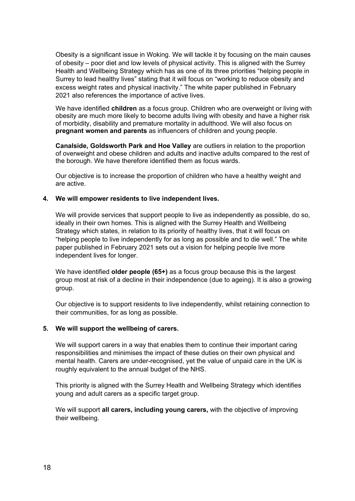Obesity is a significant issue in Woking. We will tackle it by focusing on the main causes of obesity – poor diet and low levels of physical activity. This is aligned with the Surrey Health and Wellbeing Strategy which has as one of its three priorities "helping people in Surrey to lead healthy lives" stating that it will focus on "working to reduce obesity and excess weight rates and physical inactivity." The white paper published in February 2021 also references the importance of active lives.

We have identified **children** as a focus group. Children who are overweight or living with obesity are much more likely to become adults living with obesity and have a higher risk of morbidity, disability and premature mortality in adulthood. We will also focus on **pregnant women and parents** as influencers of children and young people.

**Canalside, Goldsworth Park and Hoe Valley** are outliers in relation to the proportion of overweight and obese children and adults and inactive adults compared to the rest of the borough. We have therefore identified them as focus wards.

Our objective is to increase the proportion of children who have a healthy weight and are active.

#### **4. We will empower residents to live independent lives.**

We will provide services that support people to live as independently as possible, do so, ideally in their own homes. This is aligned with the Surrey Health and Wellbeing Strategy which states, in relation to its priority of healthy lives, that it will focus on "helping people to live independently for as long as possible and to die well." The white paper published in February 2021 sets out a vision for helping people live more independent lives for longer.

We have identified **older people (65+)** as a focus group because this is the largest group most at risk of a decline in their independence (due to ageing). It is also a growing group.

Our objective is to support residents to live independently, whilst retaining connection to their communities, for as long as possible.

#### **5. We will support the wellbeing of carers.**

We will support carers in a way that enables them to continue their important caring responsibilities and minimises the impact of these duties on their own physical and mental health. Carers are under-recognised, yet the value of unpaid care in the UK is roughly equivalent to the annual budget of the NHS.

This priority is aligned with the Surrey Health and Wellbeing Strategy which identifies young and adult carers as a specific target group.

We will support **all carers, including young carers,** with the objective of improving their wellbeing.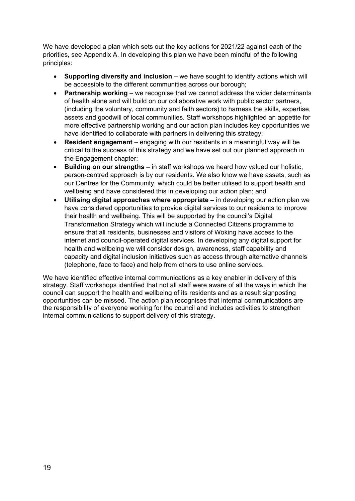We have developed a plan which sets out the key actions for 2021/22 against each of the priorities, see Appendix A. In developing this plan we have been mindful of the following principles:

- **Supporting diversity and inclusion** we have sought to identify actions which will be accessible to the different communities across our borough;
- **Partnership working** we recognise that we cannot address the wider determinants of health alone and will build on our collaborative work with public sector partners, (including the voluntary, community and faith sectors) to harness the skills, expertise, assets and goodwill of local communities. Staff workshops highlighted an appetite for more effective partnership working and our action plan includes key opportunities we have identified to collaborate with partners in delivering this strategy;
- **Resident engagement** engaging with our residents in a meaningful way will be critical to the success of this strategy and we have set out our planned approach in the Engagement chapter;
- **Building on our strengths** in staff workshops we heard how valued our holistic, person-centred approach is by our residents. We also know we have assets, such as our Centres for the Community, which could be better utilised to support health and wellbeing and have considered this in developing our action plan; and
- **Utilising digital approaches where appropriate –** in developing our action plan we have considered opportunities to provide digital services to our residents to improve their health and wellbeing. This will be supported by the council's Digital Transformation Strategy which will include a Connected Citizens programme to ensure that all residents, businesses and visitors of Woking have access to the internet and council-operated digital services. In developing any digital support for health and wellbeing we will consider design, awareness, staff capability and capacity and digital inclusion initiatives such as access through alternative channels (telephone, face to face) and help from others to use online services.

We have identified effective internal communications as a key enabler in delivery of this strategy. Staff workshops identified that not all staff were aware of all the ways in which the council can support the health and wellbeing of its residents and as a result signposting opportunities can be missed. The action plan recognises that internal communications are the responsibility of everyone working for the council and includes activities to strengthen internal communications to support delivery of this strategy.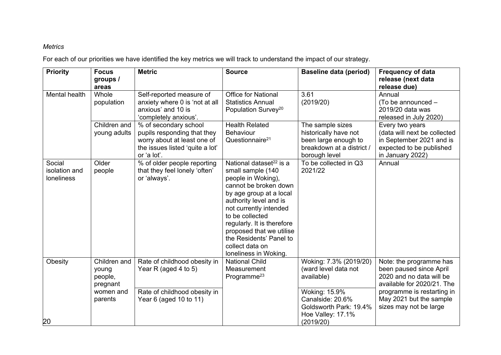## *Metrics*

For each of our priorities we have identified the key metrics we will track to understand the impact of our strategy.

| <b>Priority</b>                       | <b>Focus</b><br>groups /                     | <b>Metric</b>                                                                                                                         | <b>Source</b>                                                                                                                                                                                                                                                                                                                              | <b>Baseline data (period)</b>                                                                                   | <b>Frequency of data</b><br>release (next data                                                                              |
|---------------------------------------|----------------------------------------------|---------------------------------------------------------------------------------------------------------------------------------------|--------------------------------------------------------------------------------------------------------------------------------------------------------------------------------------------------------------------------------------------------------------------------------------------------------------------------------------------|-----------------------------------------------------------------------------------------------------------------|-----------------------------------------------------------------------------------------------------------------------------|
| Mental health                         | areas<br>Whole<br>population                 | Self-reported measure of<br>anxiety where 0 is 'not at all<br>anxious' and 10 is<br>'completely anxious'.                             | <b>Office for National</b><br><b>Statistics Annual</b><br>Population Survey <sup>20</sup>                                                                                                                                                                                                                                                  | 3.61<br>(2019/20)                                                                                               | release due)<br>Annual<br>(To be announced -<br>2019/20 data was<br>released in July 2020)                                  |
|                                       | Children and<br>young adults                 | % of secondary school<br>pupils responding that they<br>worry about at least one of<br>the issues listed 'quite a lot'<br>or 'a lot'. | <b>Health Related</b><br>Behaviour<br>Questionnaire <sup>21</sup>                                                                                                                                                                                                                                                                          | The sample sizes<br>historically have not<br>been large enough to<br>breakdown at a district /<br>borough level | Every two years<br>(data will next be collected<br>in September 2021 and is<br>expected to be published<br>in January 2022) |
| Social<br>isolation and<br>loneliness | Older<br>people                              | % of older people reporting<br>that they feel lonely 'often'<br>or 'always'.                                                          | National dataset <sup>22</sup> is a<br>small sample (140<br>people in Woking),<br>cannot be broken down<br>by age group at a local<br>authority level and is<br>not currently intended<br>to be collected<br>regularly. It is therefore<br>proposed that we utilise<br>the Residents' Panel to<br>collect data on<br>loneliness in Woking. | To be collected in Q3<br>2021/22                                                                                | Annual                                                                                                                      |
| Obesity                               | Children and<br>young<br>people,<br>pregnant | Rate of childhood obesity in<br>Year R (aged 4 to 5)                                                                                  | <b>National Child</b><br>Measurement<br>Programme <sup>23</sup>                                                                                                                                                                                                                                                                            | Woking: 7.3% (2019/20)<br>(ward level data not<br>available)                                                    | Note: the programme has<br>been paused since April<br>2020 and no data will be<br>available for 2020/21. The                |
| 20                                    | women and<br>parents                         | Rate of childhood obesity in<br>Year 6 (aged 10 to 11)                                                                                |                                                                                                                                                                                                                                                                                                                                            | Woking: 15.9%<br>Canalside: 20.6%<br>Goldsworth Park: 19.4%<br>Hoe Valley: 17.1%<br>(2019/20)                   | programme is restarting in<br>May 2021 but the sample<br>sizes may not be large                                             |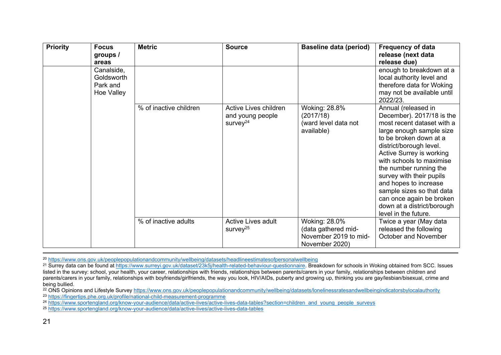| <b>Priority</b> | <b>Focus</b><br>groups /<br>areas                  | <b>Metric</b>          | <b>Source</b>                                                     | <b>Baseline data (period)</b>                                                   | <b>Frequency of data</b><br>release (next data<br>release due)                                                                                                                                                                                                                                                                                                                                                        |
|-----------------|----------------------------------------------------|------------------------|-------------------------------------------------------------------|---------------------------------------------------------------------------------|-----------------------------------------------------------------------------------------------------------------------------------------------------------------------------------------------------------------------------------------------------------------------------------------------------------------------------------------------------------------------------------------------------------------------|
|                 | Canalside,<br>Goldsworth<br>Park and<br>Hoe Valley |                        |                                                                   |                                                                                 | enough to breakdown at a<br>local authority level and<br>therefore data for Woking<br>may not be available until<br>2022/23.                                                                                                                                                                                                                                                                                          |
|                 |                                                    | % of inactive children | Active Lives children<br>and young people<br>survey <sup>24</sup> | <b>Woking: 28.8%</b><br>(2017/18)<br>(ward level data not<br>available)         | Annual (released in<br>December). 2017/18 is the<br>most recent dataset with a<br>large enough sample size<br>to be broken down at a<br>district/borough level.<br>Active Surrey is working<br>with schools to maximise<br>the number running the<br>survey with their pupils<br>and hopes to increase<br>sample sizes so that data<br>can once again be broken<br>down at a district/borough<br>level in the future. |
|                 |                                                    | % of inactive adults   | Active Lives adult<br>survey <sup>25</sup>                        | Woking: 28.0%<br>(data gathered mid-<br>November 2019 to mid-<br>November 2020) | Twice a year (May data<br>released the following<br>October and November                                                                                                                                                                                                                                                                                                                                              |

<sup>20</sup> <https://www.ons.gov.uk/peoplepopulationandcommunity/wellbeing/datasets/headlineestimatesofpersonalwellbeing>

<sup>21</sup> Surrey data can be found at [https://www.surreyi.gov.uk/dataset/23k5j/health-related-behaviour-questionnaire.](https://www.surreyi.gov.uk/dataset/23k5j/health-related-behaviour-questionnaire) Breakdown for schools in Woking obtained from SCC. Issues listed in the survey: school, your health, your career, relationships with friends, relationships between parents/carers in your family, relationships between children and parents/carers in your family, relationships with boyfriends/girlfriends, the way you look, HIV/AIDs, puberty and growing up, thinking you are gay/lesbian/bisexual, crime and being bullied.

<sup>22</sup> ONS Opinions and Lifestyle Survey <https://www.ons.gov.uk/peoplepopulationandcommunity/wellbeing/datasets/lonelinessratesandwellbeingindicatorsbylocalauthority> <sup>23</sup> <https://fingertips.phe.org.uk/profile/national-child-measurement-programme>

<sup>24</sup> [https://www.sportengland.org/know-your-audience/data/active-lives/active-lives-data-tables?section=children\\_and\\_young\\_people\\_surveys](https://www.sportengland.org/know-your-audience/data/active-lives/active-lives-data-tables?section=children_and_young_people_surveys)

<sup>25</sup> <https://www.sportengland.org/know-your-audience/data/active-lives/active-lives-data-tables>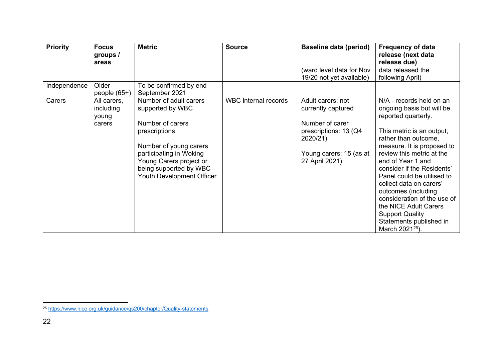| <b>Priority</b> | <b>Focus</b><br>groups /<br>areas           | <b>Metric</b>                                                                                                                                                                                                          | <b>Source</b>        | <b>Baseline data (period)</b>                                                                                                                | <b>Frequency of data</b><br>release (next data<br>release due)                                                                                                                                                                                                                                                                                                                                                                                                              |
|-----------------|---------------------------------------------|------------------------------------------------------------------------------------------------------------------------------------------------------------------------------------------------------------------------|----------------------|----------------------------------------------------------------------------------------------------------------------------------------------|-----------------------------------------------------------------------------------------------------------------------------------------------------------------------------------------------------------------------------------------------------------------------------------------------------------------------------------------------------------------------------------------------------------------------------------------------------------------------------|
|                 |                                             |                                                                                                                                                                                                                        |                      | (ward level data for Nov                                                                                                                     | data released the                                                                                                                                                                                                                                                                                                                                                                                                                                                           |
| Independence    | Older<br>people $(65+)$                     | To be confirmed by end<br>September 2021                                                                                                                                                                               |                      | 19/20 not yet available)                                                                                                                     | following April)                                                                                                                                                                                                                                                                                                                                                                                                                                                            |
| Carers          | All carers,<br>including<br>young<br>carers | Number of adult carers<br>supported by WBC<br>Number of carers<br>prescriptions<br>Number of young carers<br>participating in Woking<br>Young Carers project or<br>being supported by WBC<br>Youth Development Officer | WBC internal records | Adult carers: not<br>currently captured<br>Number of carer<br>prescriptions: 13 (Q4<br>2020/21)<br>Young carers: 15 (as at<br>27 April 2021) | N/A - records held on an<br>ongoing basis but will be<br>reported quarterly.<br>This metric is an output,<br>rather than outcome,<br>measure. It is proposed to<br>review this metric at the<br>end of Year 1 and<br>consider if the Residents'<br>Panel could be utilised to<br>collect data on carers'<br>outcomes (including<br>consideration of the use of<br>the NICE Adult Carers<br><b>Support Quality</b><br>Statements published in<br>March 2021 <sup>26</sup> ). |

<sup>26</sup> <https://www.nice.org.uk/guidance/qs200/chapter/Quality-statements>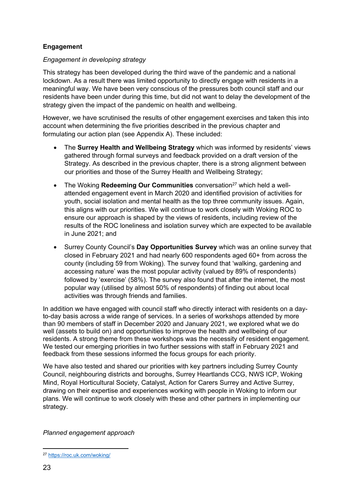## **Engagement**

## *Engagement in developing strategy*

This strategy has been developed during the third wave of the pandemic and a national lockdown. As a result there was limited opportunity to directly engage with residents in a meaningful way. We have been very conscious of the pressures both council staff and our residents have been under during this time, but did not want to delay the development of the strategy given the impact of the pandemic on health and wellbeing.

However, we have scrutinised the results of other engagement exercises and taken this into account when determining the five priorities described in the previous chapter and formulating our action plan (see Appendix A). These included:

- The **Surrey Health and Wellbeing Strategy** which was informed by residents' views gathered through formal surveys and feedback provided on a draft version of the Strategy. As described in the previous chapter, there is a strong alignment between our priorities and those of the Surrey Health and Wellbeing Strategy;
- The Woking **Redeeming Our Communities** conversation<sup>27</sup> which held a wellattended engagement event in March 2020 and identified provision of activities for youth, social isolation and mental health as the top three community issues. Again, this aligns with our priorities. We will continue to work closely with Woking ROC to ensure our approach is shaped by the views of residents, including review of the results of the ROC loneliness and isolation survey which are expected to be available in June 2021; and
- Surrey County Council's **Day Opportunities Survey** which was an online survey that closed in February 2021 and had nearly 600 respondents aged 60+ from across the county (including 59 from Woking). The survey found that 'walking, gardening and accessing nature' was the most popular activity (valued by 89% of respondents) followed by 'exercise' (58%). The survey also found that after the internet, the most popular way (utilised by almost 50% of respondents) of finding out about local activities was through friends and families.

In addition we have engaged with council staff who directly interact with residents on a dayto-day basis across a wide range of services. In a series of workshops attended by more than 90 members of staff in December 2020 and January 2021, we explored what we do well (assets to build on) and opportunities to improve the health and wellbeing of our residents. A strong theme from these workshops was the necessity of resident engagement. We tested our emerging priorities in two further sessions with staff in February 2021 and feedback from these sessions informed the focus groups for each priority.

We have also tested and shared our priorities with key partners including Surrey County Council, neighbouring districts and boroughs, Surrey Heartlands CCG, NWS ICP, Woking Mind, Royal Horticultural Society, Catalyst, Action for Carers Surrey and Active Surrey, drawing on their expertise and experiences working with people in Woking to inform our plans. We will continue to work closely with these and other partners in implementing our strategy.

*Planned engagement approach*

<sup>27</sup> <https://roc.uk.com/woking/>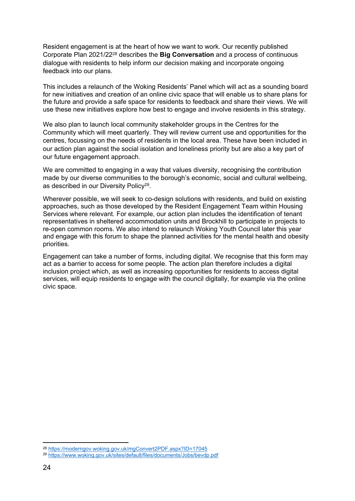Resident engagement is at the heart of how we want to work. Our recently published Corporate Plan 2021/22<sup>28</sup> describes the **Big Conversation** and a process of continuous dialogue with residents to help inform our decision making and incorporate ongoing feedback into our plans.

This includes a relaunch of the Woking Residents' Panel which will act as a sounding board for new initiatives and creation of an online civic space that will enable us to share plans for the future and provide a safe space for residents to feedback and share their views. We will use these new initiatives explore how best to engage and involve residents in this strategy.

We also plan to launch local community stakeholder groups in the Centres for the Community which will meet quarterly. They will review current use and opportunities for the centres, focussing on the needs of residents in the local area. These have been included in our action plan against the social isolation and loneliness priority but are also a key part of our future engagement approach.

We are committed to engaging in a way that values diversity, recognising the contribution made by our diverse communities to the borough's economic, social and cultural wellbeing, as described in our Diversity Policy<sup>29</sup>.

Wherever possible, we will seek to co-design solutions with residents, and build on existing approaches, such as those developed by the Resident Engagement Team within Housing Services where relevant. For example, our action plan includes the identification of tenant representatives in sheltered accommodation units and Brockhill to participate in projects to re-open common rooms. We also intend to relaunch Woking Youth Council later this year and engage with this forum to shape the planned activities for the mental health and obesity priorities.

Engagement can take a number of forms, including digital. We recognise that this form may act as a barrier to access for some people. The action plan therefore includes a digital inclusion project which, as well as increasing opportunities for residents to access digital services, will equip residents to engage with the council digitally, for example via the online civic space.

<sup>28</sup> <https://moderngov.woking.gov.uk/mgConvert2PDF.aspx?ID=17045>

<sup>29</sup> <https://www.woking.gov.uk/sites/default/files/documents/Jobs/bevdp.pdf>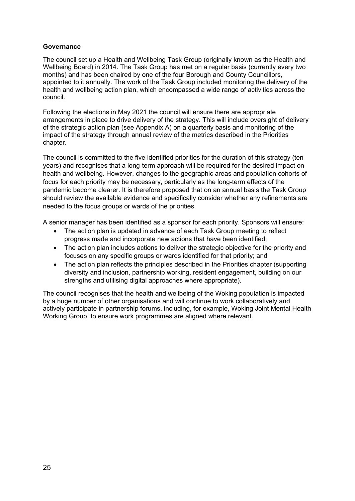#### **Governance**

The council set up a Health and Wellbeing Task Group (originally known as the Health and Wellbeing Board) in 2014. The Task Group has met on a regular basis (currently every two months) and has been chaired by one of the four Borough and County Councillors, appointed to it annually. The work of the Task Group included monitoring the delivery of the health and wellbeing action plan, which encompassed a wide range of activities across the council.

Following the elections in May 2021 the council will ensure there are appropriate arrangements in place to drive delivery of the strategy. This will include oversight of delivery of the strategic action plan (see Appendix A) on a quarterly basis and monitoring of the impact of the strategy through annual review of the metrics described in the Priorities chapter.

The council is committed to the five identified priorities for the duration of this strategy (ten years) and recognises that a long-term approach will be required for the desired impact on health and wellbeing. However, changes to the geographic areas and population cohorts of focus for each priority may be necessary, particularly as the long-term effects of the pandemic become clearer. It is therefore proposed that on an annual basis the Task Group should review the available evidence and specifically consider whether any refinements are needed to the focus groups or wards of the priorities.

A senior manager has been identified as a sponsor for each priority. Sponsors will ensure:

- The action plan is updated in advance of each Task Group meeting to reflect progress made and incorporate new actions that have been identified;
- The action plan includes actions to deliver the strategic objective for the priority and focuses on any specific groups or wards identified for that priority; and
- The action plan reflects the principles described in the Priorities chapter (supporting diversity and inclusion, partnership working, resident engagement, building on our strengths and utilising digital approaches where appropriate).

The council recognises that the health and wellbeing of the Woking population is impacted by a huge number of other organisations and will continue to work collaboratively and actively participate in partnership forums, including, for example, Woking Joint Mental Health Working Group, to ensure work programmes are aligned where relevant.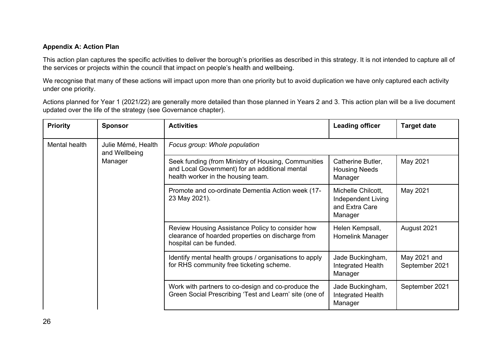#### **Appendix A: Action Plan**

This action plan captures the specific activities to deliver the borough's priorities as described in this strategy. It is not intended to capture all of the services or projects within the council that impact on people's health and wellbeing.

We recognise that many of these actions will impact upon more than one priority but to avoid duplication we have only captured each activity under one priority.

Actions planned for Year 1 (2021/22) are generally more detailed than those planned in Years 2 and 3. This action plan will be a live document updated over the life of the strategy (see Governance chapter).

| <b>Priority</b> | <b>Sponsor</b>                      | <b>Activities</b>                                                                                                                           | <b>Leading officer</b>                                                | <b>Target date</b>             |
|-----------------|-------------------------------------|---------------------------------------------------------------------------------------------------------------------------------------------|-----------------------------------------------------------------------|--------------------------------|
| Mental health   | Julie Mémé, Health<br>and Wellbeing | Focus group: Whole population                                                                                                               |                                                                       |                                |
|                 | Manager                             | Seek funding (from Ministry of Housing, Communities<br>and Local Government) for an additional mental<br>health worker in the housing team. | Catherine Butler,<br><b>Housing Needs</b><br>Manager                  | May 2021                       |
|                 |                                     | Promote and co-ordinate Dementia Action week (17-<br>23 May 2021).                                                                          | Michelle Chilcott.<br>Independent Living<br>and Extra Care<br>Manager | May 2021                       |
|                 |                                     | Review Housing Assistance Policy to consider how<br>clearance of hoarded properties on discharge from<br>hospital can be funded.            | Helen Kempsall,<br>Homelink Manager                                   | August 2021                    |
|                 |                                     | Identify mental health groups / organisations to apply<br>for RHS community free ticketing scheme.                                          | Jade Buckingham,<br>Integrated Health<br>Manager                      | May 2021 and<br>September 2021 |
|                 |                                     | Work with partners to co-design and co-produce the<br>Green Social Prescribing 'Test and Learn' site (one of                                | Jade Buckingham,<br>Integrated Health<br>Manager                      | September 2021                 |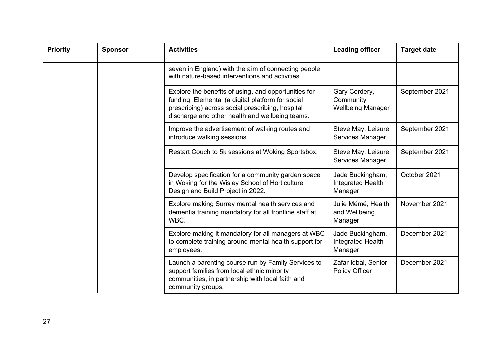| <b>Priority</b> | <b>Sponsor</b> | <b>Activities</b>                                                                                                                                                                                                | <b>Leading officer</b>                                 | <b>Target date</b> |
|-----------------|----------------|------------------------------------------------------------------------------------------------------------------------------------------------------------------------------------------------------------------|--------------------------------------------------------|--------------------|
|                 |                | seven in England) with the aim of connecting people<br>with nature-based interventions and activities.                                                                                                           |                                                        |                    |
|                 |                | Explore the benefits of using, and opportunities for<br>funding, Elemental (a digital platform for social<br>prescribing) across social prescribing, hospital<br>discharge and other health and wellbeing teams. | Gary Cordery,<br>Community<br><b>Wellbeing Manager</b> | September 2021     |
|                 |                | Improve the advertisement of walking routes and<br>introduce walking sessions.                                                                                                                                   | Steve May, Leisure<br>Services Manager                 | September 2021     |
|                 |                | Restart Couch to 5k sessions at Woking Sportsbox.                                                                                                                                                                | Steve May, Leisure<br>Services Manager                 | September 2021     |
|                 |                | Develop specification for a community garden space<br>in Woking for the Wisley School of Horticulture<br>Design and Build Project in 2022.                                                                       | Jade Buckingham,<br>Integrated Health<br>Manager       | October 2021       |
|                 |                | Explore making Surrey mental health services and<br>dementia training mandatory for all frontline staff at<br>WBC.                                                                                               | Julie Mémé, Health<br>and Wellbeing<br>Manager         | November 2021      |
|                 |                | Explore making it mandatory for all managers at WBC<br>to complete training around mental health support for<br>employees.                                                                                       | Jade Buckingham,<br>Integrated Health<br>Manager       | December 2021      |
|                 |                | Launch a parenting course run by Family Services to<br>support families from local ethnic minority<br>communities, in partnership with local faith and<br>community groups.                                      | Zafar Iqbal, Senior<br><b>Policy Officer</b>           | December 2021      |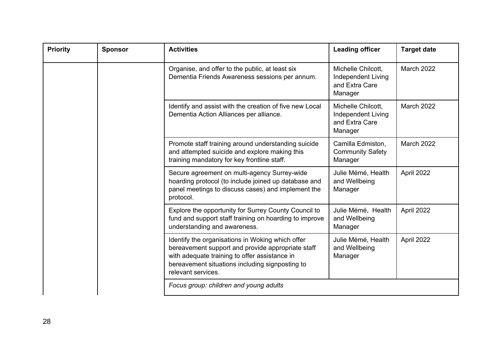| <b>Priority</b> | <b>Sponsor</b>                                                                                                                                      | <b>Activities</b>                                                                                                                                                                                                               | <b>Leading officer</b>                                                |                   |
|-----------------|-----------------------------------------------------------------------------------------------------------------------------------------------------|---------------------------------------------------------------------------------------------------------------------------------------------------------------------------------------------------------------------------------|-----------------------------------------------------------------------|-------------------|
|                 |                                                                                                                                                     | Organise, and offer to the public, at least six<br>Dementia Friends Awareness sessions per annum.                                                                                                                               | Michelle Chilcott,<br>Independent Living<br>and Extra Care<br>Manager | <b>March 2022</b> |
|                 | Identify and assist with the creation of five new Local<br>Dementia Action Alliances per alliance.                                                  | Michelle Chilcott,<br>Independent Living<br>and Extra Care<br>Manager                                                                                                                                                           | <b>March 2022</b>                                                     |                   |
|                 | Promote staff training around understanding suicide<br>and attempted suicide and explore making this<br>training mandatory for key frontline staff. | Camilla Edmiston,<br><b>Community Safety</b><br>Manager                                                                                                                                                                         | <b>March 2022</b>                                                     |                   |
|                 |                                                                                                                                                     | Secure agreement on multi-agency Surrey-wide<br>hoarding protocol (to include joined up database and<br>panel meetings to discuss cases) and implement the<br>protocol.                                                         | Julie Mémé, Health<br>and Wellbeing<br>Manager                        | April 2022        |
|                 |                                                                                                                                                     | Explore the opportunity for Surrey County Council to<br>fund and support staff training on hoarding to improve<br>understanding and awareness.                                                                                  | Julie Mémé, Health<br>and Wellbeing<br>Manager                        | April 2022        |
|                 |                                                                                                                                                     | Identify the organisations in Woking which offer<br>bereavement support and provide appropriate staff<br>with adequate training to offer assistance in<br>bereavement situations including signposting to<br>relevant services. | Julie Mémé, Health<br>and Wellbeing<br>Manager                        | April 2022        |
|                 |                                                                                                                                                     | Focus group: children and young adults                                                                                                                                                                                          |                                                                       |                   |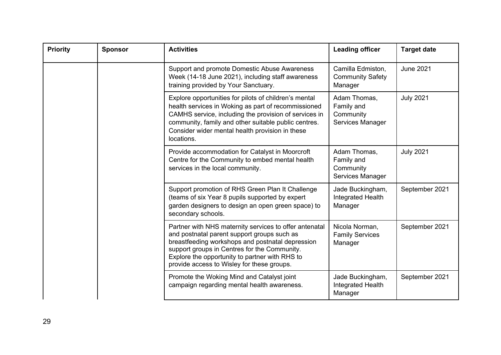| <b>Priority</b><br><b>Sponsor</b> |  | <b>Activities</b>                                                                                                                                                                                                                                                                                         | <b>Leading officer</b>                                      | <b>Target date</b> |
|-----------------------------------|--|-----------------------------------------------------------------------------------------------------------------------------------------------------------------------------------------------------------------------------------------------------------------------------------------------------------|-------------------------------------------------------------|--------------------|
|                                   |  | Support and promote Domestic Abuse Awareness<br>Week (14-18 June 2021), including staff awareness<br>training provided by Your Sanctuary.                                                                                                                                                                 | Camilla Edmiston,<br><b>Community Safety</b><br>Manager     | <b>June 2021</b>   |
|                                   |  | Explore opportunities for pilots of children's mental<br>health services in Woking as part of recommissioned<br>CAMHS service, including the provision of services in<br>community, family and other suitable public centres.<br>Consider wider mental health provision in these<br>locations.            | Adam Thomas,<br>Family and<br>Community<br>Services Manager | <b>July 2021</b>   |
|                                   |  | Provide accommodation for Catalyst in Moorcroft<br>Centre for the Community to embed mental health<br>services in the local community.                                                                                                                                                                    | Adam Thomas,<br>Family and<br>Community<br>Services Manager | <b>July 2021</b>   |
|                                   |  | Support promotion of RHS Green Plan It Challenge<br>(teams of six Year 8 pupils supported by expert)<br>garden designers to design an open green space) to<br>secondary schools.                                                                                                                          | Jade Buckingham,<br>Integrated Health<br>Manager            | September 2021     |
|                                   |  | Partner with NHS maternity services to offer antenatal<br>and postnatal parent support groups such as<br>breastfeeding workshops and postnatal depression<br>support groups in Centres for the Community.<br>Explore the opportunity to partner with RHS to<br>provide access to Wisley for these groups. | Nicola Norman,<br><b>Family Services</b><br>Manager         | September 2021     |
|                                   |  | Promote the Woking Mind and Catalyst joint<br>campaign regarding mental health awareness.                                                                                                                                                                                                                 | Jade Buckingham,<br>Integrated Health<br>Manager            | September 2021     |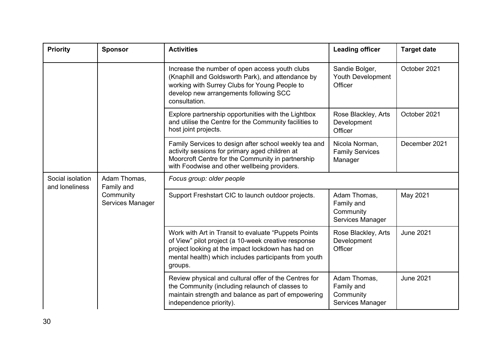| <b>Priority</b>                    | <b>Sponsor</b>                                              | <b>Activities</b>                                                                                                                                                                                                                     | <b>Leading officer</b>                                      | <b>Target date</b> |
|------------------------------------|-------------------------------------------------------------|---------------------------------------------------------------------------------------------------------------------------------------------------------------------------------------------------------------------------------------|-------------------------------------------------------------|--------------------|
|                                    |                                                             | Increase the number of open access youth clubs<br>(Knaphill and Goldsworth Park), and attendance by<br>working with Surrey Clubs for Young People to<br>develop new arrangements following SCC<br>consultation.                       | Sandie Bolger,<br>Youth Development<br>Officer              | October 2021       |
|                                    |                                                             | Explore partnership opportunities with the Lightbox<br>and utilise the Centre for the Community facilities to<br>host joint projects.                                                                                                 | Rose Blackley, Arts<br>Development<br>Officer               | October 2021       |
|                                    |                                                             | Family Services to design after school weekly tea and<br>activity sessions for primary aged children at<br>Moorcroft Centre for the Community in partnership<br>with Foodwise and other wellbeing providers.                          | Nicola Norman,<br><b>Family Services</b><br>Manager         | December 2021      |
| Social isolation<br>and loneliness | Adam Thomas,<br>Family and<br>Community<br>Services Manager | Focus group: older people                                                                                                                                                                                                             |                                                             |                    |
|                                    |                                                             | Support Freshstart CIC to launch outdoor projects.                                                                                                                                                                                    | Adam Thomas,<br>Family and<br>Community<br>Services Manager | May 2021           |
|                                    |                                                             | Work with Art in Transit to evaluate "Puppets Points"<br>of View" pilot project (a 10-week creative response<br>project looking at the impact lockdown has had on<br>mental health) which includes participants from youth<br>groups. | Rose Blackley, Arts<br>Development<br>Officer               | <b>June 2021</b>   |
|                                    |                                                             | Review physical and cultural offer of the Centres for<br>the Community (including relaunch of classes to<br>maintain strength and balance as part of empowering<br>independence priority).                                            | Adam Thomas,<br>Family and<br>Community<br>Services Manager | <b>June 2021</b>   |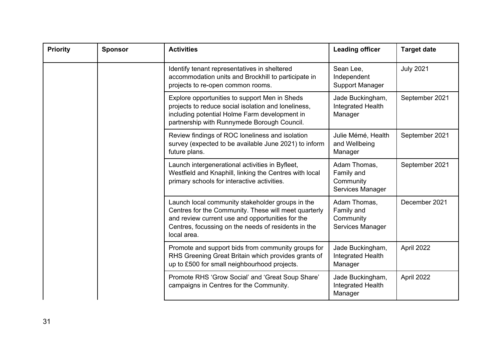| <b>Priority</b> | <b>Activities</b><br><b>Sponsor</b> |                                                                                                                                                                                                                                    | <b>Leading officer</b>                                      | <b>Target date</b> |
|-----------------|-------------------------------------|------------------------------------------------------------------------------------------------------------------------------------------------------------------------------------------------------------------------------------|-------------------------------------------------------------|--------------------|
|                 |                                     | Identify tenant representatives in sheltered<br>accommodation units and Brockhill to participate in<br>projects to re-open common rooms.                                                                                           | Sean Lee,<br>Independent<br><b>Support Manager</b>          | <b>July 2021</b>   |
|                 |                                     | Explore opportunities to support Men in Sheds<br>projects to reduce social isolation and loneliness,<br>including potential Holme Farm development in<br>partnership with Runnymede Borough Council.                               | Jade Buckingham,<br>Integrated Health<br>Manager            | September 2021     |
|                 |                                     | Review findings of ROC loneliness and isolation<br>survey (expected to be available June 2021) to inform<br>future plans.                                                                                                          | Julie Mémé, Health<br>and Wellbeing<br>Manager              | September 2021     |
|                 |                                     | Launch intergenerational activities in Byfleet,<br>Westfield and Knaphill, linking the Centres with local<br>primary schools for interactive activities.                                                                           | Adam Thomas,<br>Family and<br>Community<br>Services Manager | September 2021     |
|                 |                                     | Launch local community stakeholder groups in the<br>Centres for the Community. These will meet quarterly<br>and review current use and opportunities for the<br>Centres, focussing on the needs of residents in the<br>local area. | Adam Thomas,<br>Family and<br>Community<br>Services Manager | December 2021      |
|                 |                                     | Promote and support bids from community groups for<br>RHS Greening Great Britain which provides grants of<br>up to £500 for small neighbourhood projects.                                                                          | Jade Buckingham,<br>Integrated Health<br>Manager            | April 2022         |
|                 |                                     | Promote RHS 'Grow Social' and 'Great Soup Share'<br>campaigns in Centres for the Community.                                                                                                                                        | Jade Buckingham,<br>Integrated Health<br>Manager            | April 2022         |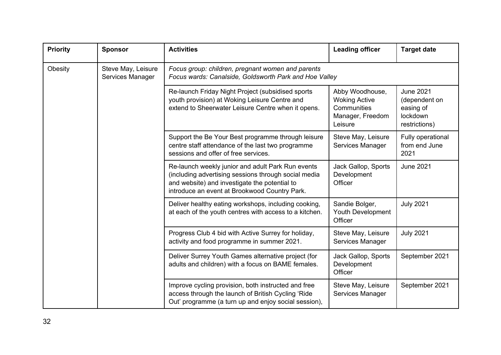| <b>Priority</b> | <b>Sponsor</b>                         | <b>Activities</b>                                                                                                                                                                                           | <b>Leading officer</b>                                                                | <b>Target date</b>                                                          |
|-----------------|----------------------------------------|-------------------------------------------------------------------------------------------------------------------------------------------------------------------------------------------------------------|---------------------------------------------------------------------------------------|-----------------------------------------------------------------------------|
| Obesity         | Steve May, Leisure<br>Services Manager | Focus group: children, pregnant women and parents<br>Focus wards: Canalside, Goldsworth Park and Hoe Valley                                                                                                 |                                                                                       |                                                                             |
|                 |                                        | Re-launch Friday Night Project (subsidised sports<br>youth provision) at Woking Leisure Centre and<br>extend to Sheerwater Leisure Centre when it opens.                                                    | Abby Woodhouse,<br><b>Woking Active</b><br>Communities<br>Manager, Freedom<br>Leisure | <b>June 2021</b><br>(dependent on<br>easing of<br>lockdown<br>restrictions) |
|                 |                                        | Support the Be Your Best programme through leisure<br>centre staff attendance of the last two programme<br>sessions and offer of free services.                                                             | Steve May, Leisure<br>Services Manager                                                | Fully operational<br>from end June<br>2021                                  |
|                 |                                        | Re-launch weekly junior and adult Park Run events<br>(including advertising sessions through social media<br>and website) and investigate the potential to<br>introduce an event at Brookwood Country Park. | Jack Gallop, Sports<br>Development<br>Officer                                         | <b>June 2021</b>                                                            |
|                 |                                        | Deliver healthy eating workshops, including cooking,<br>at each of the youth centres with access to a kitchen.                                                                                              | Sandie Bolger,<br>Youth Development<br>Officer                                        | <b>July 2021</b>                                                            |
|                 |                                        | Progress Club 4 bid with Active Surrey for holiday,<br>activity and food programme in summer 2021.                                                                                                          | Steve May, Leisure<br>Services Manager                                                | <b>July 2021</b>                                                            |
|                 |                                        | Deliver Surrey Youth Games alternative project (for<br>adults and children) with a focus on BAME females.                                                                                                   | Jack Gallop, Sports<br>Development<br>Officer                                         | September 2021                                                              |
|                 |                                        | Improve cycling provision, both instructed and free<br>access through the launch of British Cycling 'Ride<br>Out' programme (a turn up and enjoy social session),                                           | Steve May, Leisure<br>Services Manager                                                | September 2021                                                              |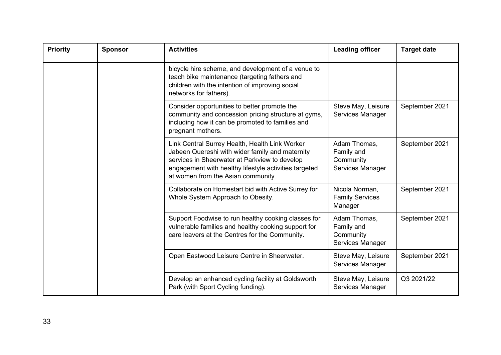| <b>Priority</b> | <b>Sponsor</b> | <b>Activities</b>                                                                                                                                                                                                                                 | <b>Leading officer</b>                                      | <b>Target date</b> |
|-----------------|----------------|---------------------------------------------------------------------------------------------------------------------------------------------------------------------------------------------------------------------------------------------------|-------------------------------------------------------------|--------------------|
|                 |                | bicycle hire scheme, and development of a venue to<br>teach bike maintenance (targeting fathers and<br>children with the intention of improving social<br>networks for fathers).                                                                  |                                                             |                    |
|                 |                | Consider opportunities to better promote the<br>community and concession pricing structure at gyms,<br>including how it can be promoted to families and<br>pregnant mothers.                                                                      | Steve May, Leisure<br>Services Manager                      | September 2021     |
|                 |                | Link Central Surrey Health, Health Link Worker<br>Jabeen Quereshi with wider family and maternity<br>services in Sheerwater at Parkview to develop<br>engagement with healthy lifestyle activities targeted<br>at women from the Asian community. | Adam Thomas,<br>Family and<br>Community<br>Services Manager | September 2021     |
|                 |                | Collaborate on Homestart bid with Active Surrey for<br>Whole System Approach to Obesity.                                                                                                                                                          | Nicola Norman,<br><b>Family Services</b><br>Manager         | September 2021     |
|                 |                | Support Foodwise to run healthy cooking classes for<br>vulnerable families and healthy cooking support for<br>care leavers at the Centres for the Community.                                                                                      | Adam Thomas,<br>Family and<br>Community<br>Services Manager | September 2021     |
|                 |                | Open Eastwood Leisure Centre in Sheerwater.                                                                                                                                                                                                       | Steve May, Leisure<br>Services Manager                      | September 2021     |
|                 |                | Develop an enhanced cycling facility at Goldsworth<br>Park (with Sport Cycling funding).                                                                                                                                                          | Steve May, Leisure<br>Services Manager                      | Q3 2021/22         |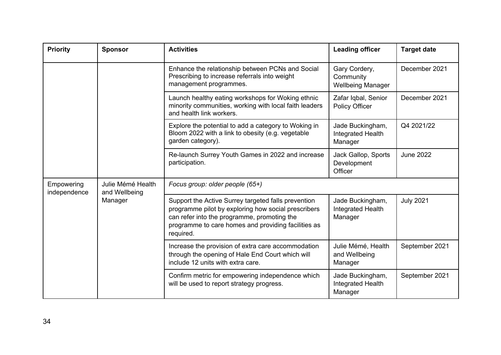| <b>Priority</b>            | <b>Sponsor</b>                     | <b>Activities</b><br><b>Leading officer</b>                                                                                                                                                                                   |                                                        | <b>Target date</b> |
|----------------------------|------------------------------------|-------------------------------------------------------------------------------------------------------------------------------------------------------------------------------------------------------------------------------|--------------------------------------------------------|--------------------|
|                            |                                    | Enhance the relationship between PCNs and Social<br>Prescribing to increase referrals into weight<br>management programmes.                                                                                                   | Gary Cordery,<br>Community<br><b>Wellbeing Manager</b> | December 2021      |
|                            |                                    | Launch healthy eating workshops for Woking ethnic<br>minority communities, working with local faith leaders<br>and health link workers.                                                                                       | Zafar Iqbal, Senior<br>Policy Officer                  | December 2021      |
|                            |                                    | Explore the potential to add a category to Woking in<br>Bloom 2022 with a link to obesity (e.g. vegetable<br>garden category).                                                                                                | Jade Buckingham,<br>Integrated Health<br>Manager       | Q4 2021/22         |
|                            |                                    | Re-launch Surrey Youth Games in 2022 and increase<br>participation.                                                                                                                                                           | Jack Gallop, Sports<br>Development<br>Officer          | <b>June 2022</b>   |
| Empowering<br>independence | Julie Mémé Health<br>and Wellbeing | Focus group: older people (65+)                                                                                                                                                                                               |                                                        |                    |
|                            | Manager                            | Support the Active Surrey targeted falls prevention<br>programme pilot by exploring how social prescribers<br>can refer into the programme, promoting the<br>programme to care homes and providing facilities as<br>required. | Jade Buckingham,<br>Integrated Health<br>Manager       | <b>July 2021</b>   |
|                            |                                    | Increase the provision of extra care accommodation<br>through the opening of Hale End Court which will<br>include 12 units with extra care.                                                                                   | Julie Mémé, Health<br>and Wellbeing<br>Manager         | September 2021     |
|                            |                                    | Confirm metric for empowering independence which<br>will be used to report strategy progress.                                                                                                                                 | Jade Buckingham,<br>Integrated Health<br>Manager       | September 2021     |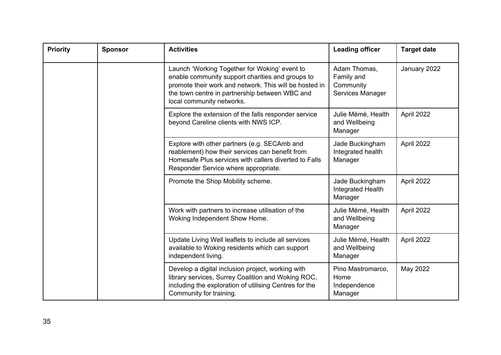| <b>Priority</b> | <b>Leading officer</b><br><b>Sponsor</b><br><b>Activities</b> |                                                                                                                                                                                                                                            | <b>Target date</b>                                          |              |
|-----------------|---------------------------------------------------------------|--------------------------------------------------------------------------------------------------------------------------------------------------------------------------------------------------------------------------------------------|-------------------------------------------------------------|--------------|
|                 |                                                               | Launch 'Working Together for Woking' event to<br>enable community support charities and groups to<br>promote their work and network. This will be hosted in<br>the town centre in partnership between WBC and<br>local community networks. | Adam Thomas,<br>Family and<br>Community<br>Services Manager | January 2022 |
|                 |                                                               | Explore the extension of the falls responder service<br>beyond Careline clients with NWS ICP.                                                                                                                                              | Julie Mémé, Health<br>and Wellbeing<br>Manager              | April 2022   |
|                 |                                                               | Explore with other partners (e.g. SECAmb and<br>reablement) how their services can benefit from<br>Homesafe Plus services with callers diverted to Falls<br>Responder Service where appropriate.                                           | Jade Buckingham<br>Integrated health<br>Manager             | April 2022   |
|                 |                                                               | Promote the Shop Mobility scheme.                                                                                                                                                                                                          | Jade Buckingham<br>Integrated Health<br>Manager             | April 2022   |
|                 |                                                               | Work with partners to increase utilisation of the<br>Woking Independent Show Home.                                                                                                                                                         | Julie Mémé, Health<br>and Wellbeing<br>Manager              | April 2022   |
|                 |                                                               | Update Living Well leaflets to include all services<br>available to Woking residents which can support<br>independent living.                                                                                                              | Julie Mémé, Health<br>and Wellbeing<br>Manager              | April 2022   |
|                 |                                                               | Develop a digital inclusion project, working with<br>library services, Surrey Coalition and Woking ROC,<br>including the exploration of utilising Centres for the<br>Community for training.                                               | Pino Mastromarco,<br>Home<br>Independence<br>Manager        | May 2022     |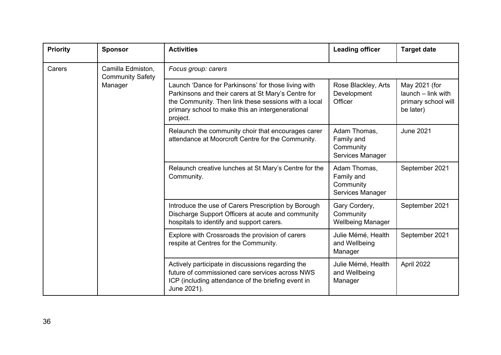| <b>Priority</b> | <b>Sponsor</b>                               | <b>Activities</b>                                                                                                                                                                                                                  | <b>Leading officer</b>                                      | <b>Target date</b>                                                      |  |
|-----------------|----------------------------------------------|------------------------------------------------------------------------------------------------------------------------------------------------------------------------------------------------------------------------------------|-------------------------------------------------------------|-------------------------------------------------------------------------|--|
| Carers          | Camilla Edmiston,<br><b>Community Safety</b> | Focus group: carers                                                                                                                                                                                                                |                                                             |                                                                         |  |
|                 | Manager                                      | Launch 'Dance for Parkinsons' for those living with<br>Parkinsons and their carers at St Mary's Centre for<br>the Community. Then link these sessions with a local<br>primary school to make this an intergenerational<br>project. | Rose Blackley, Arts<br>Development<br>Officer               | May 2021 (for<br>launch - link with<br>primary school will<br>be later) |  |
|                 |                                              | Relaunch the community choir that encourages carer<br>attendance at Moorcroft Centre for the Community.                                                                                                                            | Adam Thomas,<br>Family and<br>Community<br>Services Manager | <b>June 2021</b>                                                        |  |
|                 |                                              | Relaunch creative lunches at St Mary's Centre for the<br>Community.                                                                                                                                                                | Adam Thomas,<br>Family and<br>Community<br>Services Manager | September 2021                                                          |  |
|                 |                                              | Introduce the use of Carers Prescription by Borough<br>Discharge Support Officers at acute and community<br>hospitals to identify and support carers.                                                                              | Gary Cordery,<br>Community<br><b>Wellbeing Manager</b>      | September 2021                                                          |  |
|                 |                                              | Explore with Crossroads the provision of carers<br>respite at Centres for the Community.                                                                                                                                           | Julie Mémé, Health<br>and Wellbeing<br>Manager              | September 2021                                                          |  |
|                 |                                              | Actively participate in discussions regarding the<br>future of commissioned care services across NWS<br>ICP (including attendance of the briefing event in<br>June 2021).                                                          | Julie Mémé, Health<br>and Wellbeing<br>Manager              | April 2022                                                              |  |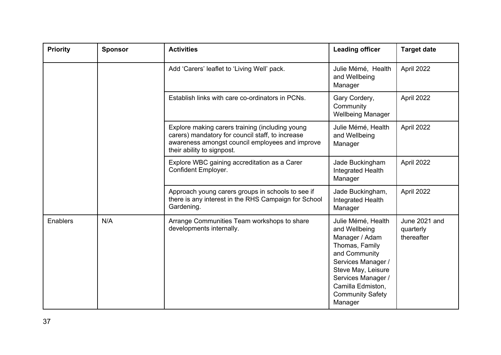| <b>Priority</b> | <b>Sponsor</b> | <b>Activities</b>                                                                                                                                                                    | <b>Leading officer</b>                                                                                                                                                                                                | <b>Target date</b>                       |
|-----------------|----------------|--------------------------------------------------------------------------------------------------------------------------------------------------------------------------------------|-----------------------------------------------------------------------------------------------------------------------------------------------------------------------------------------------------------------------|------------------------------------------|
|                 |                | Add 'Carers' leaflet to 'Living Well' pack.                                                                                                                                          | Julie Mémé, Health<br>and Wellbeing<br>Manager                                                                                                                                                                        | April 2022                               |
|                 |                | Establish links with care co-ordinators in PCNs.                                                                                                                                     | Gary Cordery,<br>Community<br><b>Wellbeing Manager</b>                                                                                                                                                                | April 2022                               |
|                 |                | Explore making carers training (including young<br>carers) mandatory for council staff, to increase<br>awareness amongst council employees and improve<br>their ability to signpost. | Julie Mémé, Health<br>and Wellbeing<br>Manager                                                                                                                                                                        | April 2022                               |
|                 |                | Explore WBC gaining accreditation as a Carer<br>Confident Employer.                                                                                                                  | Jade Buckingham<br>Integrated Health<br>Manager                                                                                                                                                                       | April 2022                               |
|                 |                | Approach young carers groups in schools to see if<br>there is any interest in the RHS Campaign for School<br>Gardening.                                                              | Jade Buckingham,<br>Integrated Health<br>Manager                                                                                                                                                                      | April 2022                               |
| Enablers        | N/A            | Arrange Communities Team workshops to share<br>developments internally.                                                                                                              | Julie Mémé, Health<br>and Wellbeing<br>Manager / Adam<br>Thomas, Family<br>and Community<br>Services Manager /<br>Steve May, Leisure<br>Services Manager /<br>Camilla Edmiston,<br><b>Community Safety</b><br>Manager | June 2021 and<br>quarterly<br>thereafter |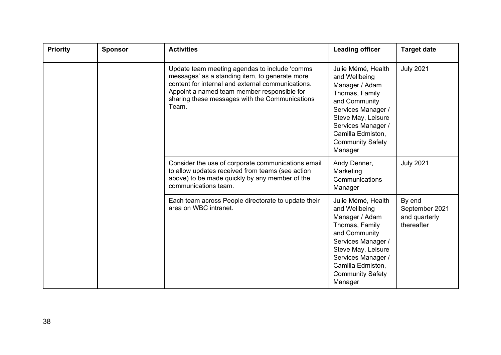| <b>Priority</b> | <b>Activities</b><br><b>Sponsor</b> |                                                                                                                                                                                                                                                                | <b>Leading officer</b>                                                                                                                                                                                                | <b>Target date</b>                                      |
|-----------------|-------------------------------------|----------------------------------------------------------------------------------------------------------------------------------------------------------------------------------------------------------------------------------------------------------------|-----------------------------------------------------------------------------------------------------------------------------------------------------------------------------------------------------------------------|---------------------------------------------------------|
|                 |                                     | Update team meeting agendas to include 'comms<br>messages' as a standing item, to generate more<br>content for internal and external communications.<br>Appoint a named team member responsible for<br>sharing these messages with the Communications<br>Team. | Julie Mémé, Health<br>and Wellbeing<br>Manager / Adam<br>Thomas, Family<br>and Community<br>Services Manager /<br>Steve May, Leisure<br>Services Manager /<br>Camilla Edmiston,<br><b>Community Safety</b><br>Manager | <b>July 2021</b>                                        |
|                 |                                     | Consider the use of corporate communications email<br>to allow updates received from teams (see action<br>above) to be made quickly by any member of the<br>communications team.                                                                               | Andy Denner,<br>Marketing<br>Communications<br>Manager                                                                                                                                                                | <b>July 2021</b>                                        |
|                 |                                     | Each team across People directorate to update their<br>area on WBC intranet.                                                                                                                                                                                   | Julie Mémé, Health<br>and Wellbeing<br>Manager / Adam<br>Thomas, Family<br>and Community<br>Services Manager /<br>Steve May, Leisure<br>Services Manager /<br>Camilla Edmiston,<br><b>Community Safety</b><br>Manager | By end<br>September 2021<br>and quarterly<br>thereafter |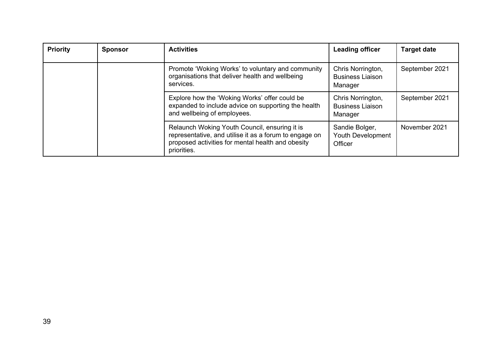| <b>Priority</b> | <b>Activities</b><br><b>Sponsor</b>                                                                                                 |                                                                                                                                                              | <b>Leading officer</b>                                  | <b>Target date</b> |
|-----------------|-------------------------------------------------------------------------------------------------------------------------------------|--------------------------------------------------------------------------------------------------------------------------------------------------------------|---------------------------------------------------------|--------------------|
|                 |                                                                                                                                     | Promote 'Woking Works' to voluntary and community<br>organisations that deliver health and wellbeing<br>services.                                            | Chris Norrington,<br><b>Business Liaison</b><br>Manager | September 2021     |
|                 | Explore how the 'Woking Works' offer could be<br>expanded to include advice on supporting the health<br>and wellbeing of employees. | Chris Norrington,<br><b>Business Liaison</b><br>Manager                                                                                                      | September 2021                                          |                    |
| priorities.     |                                                                                                                                     | Relaunch Woking Youth Council, ensuring it is<br>representative, and utilise it as a forum to engage on<br>proposed activities for mental health and obesity | Sandie Bolger,<br>Youth Development<br>Officer          | November 2021      |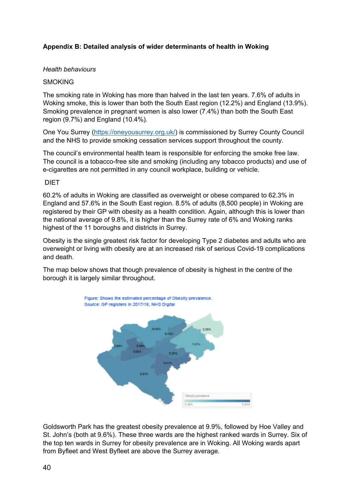## **Appendix B: Detailed analysis of wider determinants of health in Woking**

#### *Health behaviours*

#### **SMOKING**

The smoking rate in Woking has more than halved in the last ten years. 7.6% of adults in Woking smoke, this is lower than both the South East region (12.2%) and England (13.9%). Smoking prevalence in pregnant women is also lower (7.4%) than both the South East region (9.7%) and England (10.4%).

One You Surrey ([https://oneyousurrey.org.uk/\)](https://oneyousurrey.org.uk/) is commissioned by Surrey County Council and the NHS to provide smoking cessation services support throughout the county.

The council's environmental health team is responsible for enforcing the smoke free law. The council is a tobacco-free site and smoking (including any tobacco products) and use of e-cigarettes are not permitted in any council workplace, building or vehicle.

#### DIET

60.2% of adults in Woking are classified as overweight or obese compared to 62.3% in England and 57.6% in the South East region. 8.5% of adults (8,500 people) in Woking are registered by their GP with obesity as a health condition. Again, although this is lower than the national average of 9.8%, it is higher than the Surrey rate of 6% and Woking ranks highest of the 11 boroughs and districts in Surrey.

Obesity is the single greatest risk factor for developing Type 2 diabetes and adults who are overweight or living with obesity are at an increased risk of serious Covid-19 complications and death.

The map below shows that though prevalence of obesity is highest in the centre of the borough it is largely similar throughout.



Goldsworth Park has the greatest obesity prevalence at 9.9%, followed by Hoe Valley and St. John's (both at 9.6%). These three wards are the highest ranked wards in Surrey. Six of the top ten wards in Surrey for obesity prevalence are in Woking. All Woking wards apart from Byfleet and West Byfleet are above the Surrey average.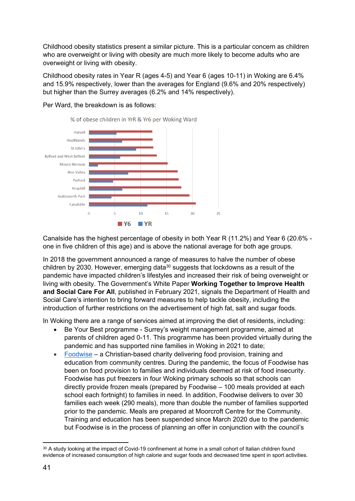Childhood obesity statistics present a similar picture. This is a particular concern as children who are overweight or living with obesity are much more likely to become adults who are overweight or living with obesity.

Childhood obesity rates in Year R (ages 4-5) and Year 6 (ages 10-11) in Woking are 6.4% and 15.9% respectively, lower than the averages for England (9.6% and 20% respectively) but higher than the Surrey averages (6.2% and 14% respectively).



Per Ward, the breakdown is as follows:

Canalside has the highest percentage of obesity in both Year R (11.2%) and Year 6 (20.6% one in five children of this age) and is above the national average for both age groups.

In 2018 the government announced a range of measures to halve the number of obese children by 2030. However, emerging data<sup>30</sup> suggests that lockdowns as a result of the pandemic have impacted children's lifestyles and increased their risk of being overweight or living with obesity. The Government's White Paper **Working Together to Improve Health and Social Care For All**, published in February 2021, signals the Department of Health and Social Care's intention to bring forward measures to help tackle obesity, including the introduction of further restrictions on the advertisement of high fat, salt and sugar foods.

In Woking there are a range of services aimed at improving the diet of residents, including:

- Be Your Best programme Surrey's weight management programme, aimed at parents of children aged 0-11. This programme has been provided virtually during the pandemic and has supported nine families in Woking in 2021 to date;
- [Foodwise](http://www.foodwisetlc.care/) a Christian-based charity delivering food provision, training and education from community centres. During the pandemic, the focus of Foodwise has been on food provision to families and individuals deemed at risk of food insecurity. Foodwise has put freezers in four Woking primary schools so that schools can directly provide frozen meals (prepared by Foodwise – 100 meals provided at each school each fortnight) to families in need. In addition, Foodwise delivers to over 30 families each week (290 meals), more than double the number of families supported prior to the pandemic. Meals are prepared at Moorcroft Centre for the Community. Training and education has been suspended since March 2020 due to the pandemic but Foodwise is in the process of planning an offer in conjunction with the council's

<sup>30</sup> A study looking at the impact of Covid-19 confinement at home in a small cohort of Italian children found evidence of increased consumption of high calorie and sugar foods and decreased time spent in sport activities.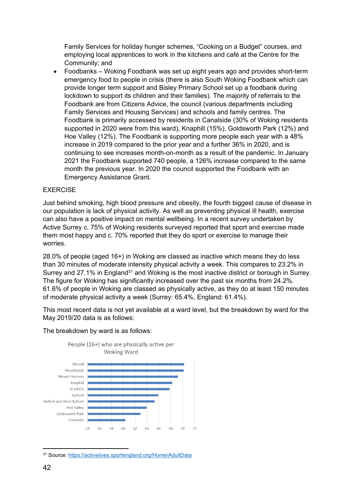Family Services for holiday hunger schemes, "Cooking on a Budget" courses, and employing local apprentices to work in the kitchens and café at the Centre for the Community; and

 Foodbanks – Woking Foodbank was set up eight years ago and provides short-term emergency food to people in crisis (there is also South Woking Foodbank which can provide longer term support and Bisley Primary School set up a foodbank during lockdown to support its children and their families). The majority of referrals to the Foodbank are from Citizens Advice, the council (various departments including Family Services and Housing Services) and schools and family centres. The Foodbank is primarily accessed by residents in Canalside (30% of Woking residents supported in 2020 were from this ward), Knaphill (15%), Goldsworth Park (12%) and Hoe Valley (12%). The Foodbank is supporting more people each year with a 48% increase in 2019 compared to the prior year and a further 36% in 2020, and is continuing to see increases month-on-month as a result of the pandemic. In January 2021 the Foodbank supported 740 people, a 126% increase compared to the same month the previous year. In 2020 the council supported the Foodbank with an Emergency Assistance Grant.

## EXERCISE

Just behind smoking, high blood pressure and obesity, the fourth biggest cause of disease in our population is lack of physical activity. As well as preventing physical ill health, exercise can also have a positive impact on mental wellbeing. In a recent survey undertaken by Active Surrey c. 75% of Woking residents surveyed reported that sport and exercise made them most happy and c. 70% reported that they do sport or exercise to manage their worries.

28.0% of people (aged 16+) in Woking are classed as inactive which means they do less than 30 minutes of moderate intensity physical activity a week. This compares to 23.2% in Surrey and 27.1% in England<sup>31</sup> and Woking is the most inactive district or borough in Surrey. The figure for Woking has significantly increased over the past six months from 24.2%. 61.6% of people in Woking are classed as physically active, as they do at least 150 minutes of moderate physical activity a week (Surrey: 65.4%, England: 61.4%).

This most recent data is not yet available at a ward level, but the breakdown by ward for the May 2019/20 data is as follows:



#### The breakdown by ward is as follows:

<sup>31</sup> Source: <https://activelives.sportengland.org/Home/AdultData>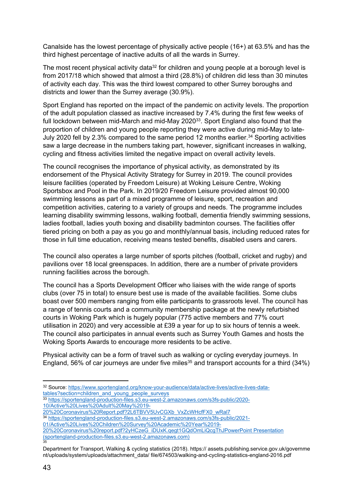Canalside has the lowest percentage of physically active people (16+) at 63.5% and has the third highest percentage of inactive adults of all the wards in Surrey.

The most recent physical activity data<sup>32</sup> for children and young people at a borough level is from 2017/18 which showed that almost a third (28.8%) of children did less than 30 minutes of activity each day. This was the third lowest compared to other Surrey boroughs and districts and lower than the Surrey average (30.9%).

Sport England has reported on the impact of the pandemic on activity levels. The proportion of the adult population classed as inactive increased by 7.4% during the first few weeks of full lockdown between mid-March and mid-May 2020<sup>33</sup>. Sport England also found that the proportion of children and young people reporting they were active during mid-May to late-July 2020 fell by 2.3% compared to the same period 12 months earlier.<sup>34</sup> Sporting activities saw a large decrease in the numbers taking part, however, significant increases in walking, cycling and fitness activities limited the negative impact on overall activity levels.

The council recognises the importance of physical activity, as demonstrated by its endorsement of the Physical Activity Strategy for Surrey in 2019. The council provides leisure facilities (operated by Freedom Leisure) at Woking Leisure Centre, Woking Sportsbox and Pool in the Park. In 2019/20 Freedom Leisure provided almost 90,000 swimming lessons as part of a mixed programme of leisure, sport, recreation and competition activities, catering to a variety of groups and needs. The programme includes learning disability swimming lessons, walking football, dementia friendly swimming sessions, ladies football, ladies youth boxing and disability badminton courses. The facilities offer tiered pricing on both a pay as you go and monthly/annual basis, including reduced rates for those in full time education, receiving means tested benefits, disabled users and carers.

The council also operates a large number of sports pitches (football, cricket and rugby) and pavilions over 18 local greenspaces. In addition, there are a number of private providers running facilities across the borough.

The council has a Sports Development Officer who liaises with the wide range of sports clubs (over 75 in total) to ensure best use is made of the available facilities. Some clubs boast over 500 members ranging from elite participants to grassroots level. The council has a range of tennis courts and a community membership package at the newly refurbished courts in Woking Park which is hugely popular (775 active members and 77% court utilisation in 2020) and very accessible at £39 a year for up to six hours of tennis a week. The council also participates in annual events such as Surrey Youth Games and hosts the Woking Sports Awards to encourage more residents to be active.

Physical activity can be a form of travel such as walking or cycling everyday journeys. In England, 56% of car journeys are under five miles<sup>35</sup> and transport accounts for a third (34%)

[20%20Coronavirus%20report.pdf?2yHCzeG\\_iDUxK.qegt1GQdOmLiQcgThJPowerPoint](https://sportengland-production-files.s3.eu-west-2.amazonaws.com/s3fs-public/2021-01/Active%20Lives%20Children%20Survey%20Academic%20Year%2019-20%20Coronavirus%20report.pdf?2yHCzeG_iDUxK.qegt1GQdOmLiQcgThJ) Presentation [\(sportengland-production-files.s3.eu-west-2.amazonaws.com\)](https://sportengland-production-files.s3.eu-west-2.amazonaws.com/s3fs-public/2021-01/Active%20Lives%20Children%20Survey%20Academic%20Year%2019-20%20Coronavirus%20report.pdf?2yHCzeG_iDUxK.qegt1GQdOmLiQcgThJ) 35

<sup>32</sup> Source: [https://www.sportengland.org/know-your-audience/data/active-lives/active-lives-data](https://www.sportengland.org/know-your-audience/data/active-lives/active-lives-data-tables?section=children_and_young_people_surveys)[tables?section=children\\_and\\_young\\_people\\_surveys](https://www.sportengland.org/know-your-audience/data/active-lives/active-lives-data-tables?section=children_and_young_people_surveys)

<sup>33</sup> [https://sportengland-production-files.s3.eu-west-2.amazonaws.com/s3fs-public/2020-](https://sportengland-production-files.s3.eu-west-2.amazonaws.com/s3fs-public/2020-10/Active%20Lives%20Adult%20May%2019-20%20Coronavirus%20Report.pdf?2L6TBVV5UvCGXb_VxZcWHcfFX0_wRal7) [10/Active%20Lives%20Adult%20May%2019-](https://sportengland-production-files.s3.eu-west-2.amazonaws.com/s3fs-public/2020-10/Active%20Lives%20Adult%20May%2019-20%20Coronavirus%20Report.pdf?2L6TBVV5UvCGXb_VxZcWHcfFX0_wRal7)

[<sup>20%20</sup>Coronavirus%20Report.pdf?2L6TBVV5UvCGXb\\_VxZcWHcfFX0\\_wRal7](https://sportengland-production-files.s3.eu-west-2.amazonaws.com/s3fs-public/2020-10/Active%20Lives%20Adult%20May%2019-20%20Coronavirus%20Report.pdf?2L6TBVV5UvCGXb_VxZcWHcfFX0_wRal7)

<sup>34</sup> [https://sportengland-production-files.s3.eu-west-2.amazonaws.com/s3fs-public/2021-](https://sportengland-production-files.s3.eu-west-2.amazonaws.com/s3fs-public/2021-01/Active%20Lives%20Children%20Survey%20Academic%20Year%2019-20%20Coronavirus%20report.pdf?2yHCzeG_iDUxK.qegt1GQdOmLiQcgThJ)

[<sup>01/</sup>Active%20Lives%20Children%20Survey%20Academic%20Year%2019-](https://sportengland-production-files.s3.eu-west-2.amazonaws.com/s3fs-public/2021-01/Active%20Lives%20Children%20Survey%20Academic%20Year%2019-20%20Coronavirus%20report.pdf?2yHCzeG_iDUxK.qegt1GQdOmLiQcgThJ)

Department for Transport, Walking & cycling statistics (2018). https:// assets.publishing.service.gov.uk/governme nt/uploads/system/uploads/attachment\_data/ file/674503/walking-and-cycling-statistics-england-2016.pdf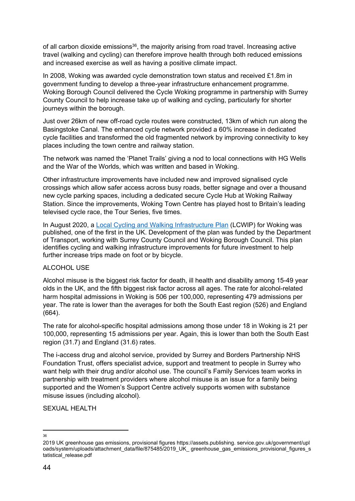of all carbon dioxide emissions<sup>36</sup>, the majority arising from road travel. Increasing active travel (walking and cycling) can therefore improve health through both reduced emissions and increased exercise as well as having a positive climate impact.

In 2008, Woking was awarded cycle demonstration town status and received £1.8m in government funding to develop a three-year infrastructure enhancement programme. Woking Borough Council delivered the Cycle Woking programme in partnership with Surrey County Council to help increase take up of walking and cycling, particularly for shorter journeys within the borough.

Just over 26km of new off-road cycle routes were constructed, 13km of which run along the Basingstoke Canal. The enhanced cycle network provided a 60% increase in dedicated cycle facilities and transformed the old fragmented network by improving connectivity to key places including the town centre and railway station.

The network was named the 'Planet Trails' giving a nod to local connections with HG Wells and the War of the Worlds, which was written and based in Woking.

Other infrastructure improvements have included new and improved signalised cycle crossings which allow safer access across busy roads, better signage and over a thousand new cycle parking spaces, including a dedicated secure Cycle Hub at Woking Railway Station. Since the improvements, Woking Town Centre has played host to Britain's leading televised cycle race, the Tour Series, five times.

In August 2020, a Local Cycling and Walking [Infrastructure](https://britishredcross.zoom.us/j/91340927329?pwd=NEVXSW5nUS9meStqdjNLNkowMzBUQT09) Plan (LCWIP) for Woking was published, one of the first in the UK. Development of the plan was funded by the Department of Transport, working with Surrey County Council and Woking Borough Council. This plan identifies cycling and walking infrastructure improvements for future investment to help further increase trips made on foot or by bicycle.

## ALCOHOL USE

Alcohol misuse is the biggest risk factor for death, ill health and disability among 15-49 year olds in the UK, and the fifth biggest risk factor across all ages. The rate for alcohol-related harm hospital admissions in Woking is 506 per 100,000, representing 479 admissions per year. The rate is lower than the averages for both the South East region (526) and England (664).

The rate for alcohol-specific hospital admissions among those under 18 in Woking is 21 per 100,000, representing 15 admissions per year. Again, this is lower than both the South East region (31.7) and England (31.6) rates.

The i-access drug and alcohol service, provided by Surrey and Borders Partnership NHS Foundation Trust, offers specialist advice, support and treatment to people in Surrey who want help with their drug and/or alcohol use. The council's Family Services team works in partnership with treatment providers where alcohol misuse is an issue for a family being supported and the Women's Support Centre actively supports women with substance misuse issues (including alcohol).

SEXUAL HEALTH

<sup>36</sup>

<sup>2019</sup> UK greenhouse gas emissions, provisional figures [https://assets.publishing.](https://assets.publishing/) service.gov.uk/government/upl oads/system/uploads/attachment\_data/file/875485/2019\_UK\_ greenhouse\_gas\_emissions\_provisional\_figures\_s tatistical release.pdf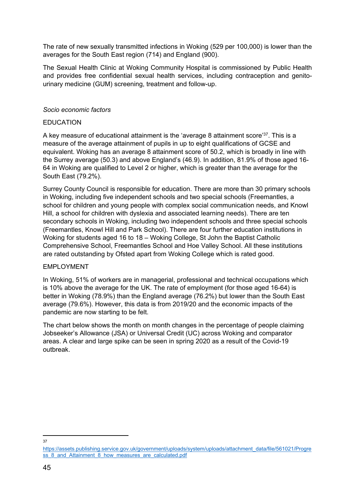The rate of new sexually transmitted infections in Woking (529 per 100,000) is lower than the averages for the South East region (714) and England (900).

The Sexual Health Clinic at Woking Community Hospital is commissioned by Public Health and provides free confidential sexual health services, including contraception and genitourinary medicine (GUM) screening, treatment and follow-up.

#### *Socio economic factors*

#### EDUCATION

A key measure of educational attainment is the 'average 8 attainment score'<sup>37</sup>. This is a measure of the average attainment of pupils in up to eight qualifications of GCSE and equivalent. Woking has an average 8 attainment score of 50.2, which is broadly in line with the Surrey average (50.3) and above England's (46.9). In addition, 81.9% of those aged 16- 64 in Woking are qualified to Level 2 or higher, which is greater than the average for the South East (79.2%).

Surrey County Council is responsible for education. There are more than 30 primary schools in Woking, including five independent schools and two special schools (Freemantles, a school for children and young people with complex social communication needs, and Knowl Hill, a school for children with dyslexia and associated learning needs). There are ten secondary schools in Woking, including two independent schools and three special schools (Freemantles, Knowl Hill and Park School). There are four further education institutions in Woking for students aged 16 to 18 – Woking College, St John the Baptist Catholic Comprehensive School, Freemantles School and Hoe Valley School. All these institutions are rated outstanding by Ofsted apart from Woking College which is rated good.

## EMPLOYMENT

In Woking, 51% of workers are in managerial, professional and technical occupations which is 10% above the average for the UK. The rate of employment (for those aged 16-64) is better in Woking (78.9%) than the England average (76.2%) but lower than the South East average (79.6%). However, this data is from 2019/20 and the economic impacts of the pandemic are now starting to be felt.

The chart below shows the month on month changes in the percentage of people claiming Jobseeker's Allowance (JSA) or Universal Credit (UC) across Woking and comparator areas. A clear and large spike can be seen in spring 2020 as a result of the Covid-19 outbreak.

37

[https://assets.publishing.service.gov.uk/government/uploads/system/uploads/attachment\\_data/file/561021/Progre](https://assets.publishing.service.gov.uk/government/uploads/system/uploads/attachment_data/file/561021/Progress_8_and_Attainment_8_how_measures_are_calculated.pdf) [ss\\_8\\_and\\_Attainment\\_8\\_how\\_measures\\_are\\_calculated.pdf](https://assets.publishing.service.gov.uk/government/uploads/system/uploads/attachment_data/file/561021/Progress_8_and_Attainment_8_how_measures_are_calculated.pdf)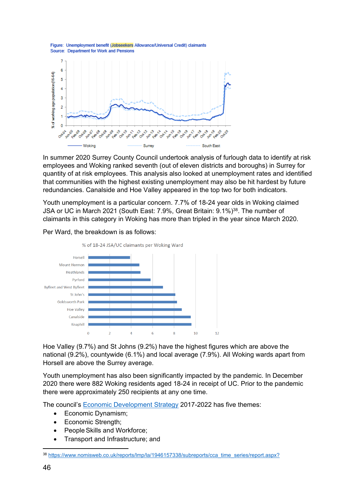



In summer 2020 Surrey County Council undertook analysis of furlough data to identify at risk employees and Woking ranked seventh (out of eleven districts and boroughs) in Surrey for quantity of at risk employees. This analysis also looked at unemployment rates and identified that communities with the highest existing unemployment may also be hit hardest by future redundancies. Canalside and Hoe Valley appeared in the top two for both indicators.

Youth unemployment is a particular concern. 7.7% of 18-24 year olds in Woking claimed JSA or UC in March 2021 (South East: 7.9%, Great Britain: 9.1%)<sup>38</sup>. The number of claimants in this category in Woking has more than tripled in the year since March 2020.



Per Ward, the breakdown is as follows:

Hoe Valley (9.7%) and St Johns (9.2%) have the highest figures which are above the national (9.2%), countywide (6.1%) and local average (7.9%). All Woking wards apart from Horsell are above the Surrey average.

Youth unemployment has also been significantly impacted by the pandemic. In December 2020 there were 882 Woking residents aged 18-24 in receipt of UC. Prior to the pandemic there were approximately 250 recipients at any one time.

The council's Economic [Development](https://www.woking.gov.uk/sites/default/files/ecdevstrategy.pdf) Strategy 2017-2022 has five themes:

- Economic Dynamism;
- Economic Strength;
- PeopleSkills and Workforce;
- Transport and Infrastructure; and

<sup>38</sup> [https://www.nomisweb.co.uk/reports/lmp/la/1946157338/subreports/cca\\_time\\_series/report.aspx?](https://www.nomisweb.co.uk/reports/lmp/la/1946157338/subreports/cca_time_series/report.aspx?)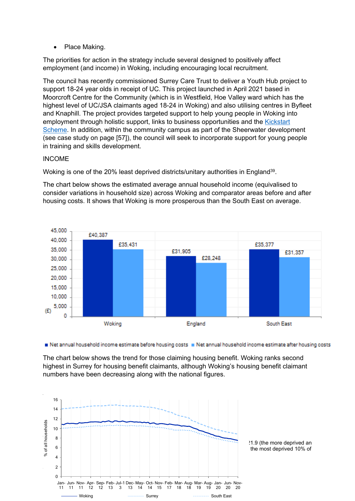• Place Making.

The priorities for action in the strategy include several designed to positively affect employment (and income) in Woking, including encouraging local recruitment.

The council has recently commissioned Surrey Care Trust to deliver a Youth Hub project to support 18-24 year olds in receipt of UC. This project launched in April 2021 based in Moorcroft Centre for the Community (which is in Westfield, Hoe Valley ward which has the highest level of UC/JSA claimants aged 18-24 in Woking) and also utilising centres in Byfleet and Knaphill. The project provides targeted support to help young people in Woking into employment through holistic support, links to business opportunities and the [Kickstart](https://jobhelp.campaign.gov.uk/kickstart/) [Scheme](https://jobhelp.campaign.gov.uk/kickstart/). In addition, within the community campus as part of the Sheerwater development (see case study on page [57]), the council will seek to incorporate support for young people in training and skills development.

#### INCOME

Woking is one of the 20% least deprived districts/unitary authorities in England<sup>39</sup>.

The chart below shows the estimated average annual household income (equivalised to consider variations in household size) across Woking and comparator areas before and after housing costs. It shows that Woking is more prosperous than the South East on average.



Net annual household income estimate before housing costs R Net annual household income estimate after housing costs

The chart below shows the trend for those claiming housing benefit. Woking ranks second highest in Surrey for housing benefit claimants, although Woking's housing benefit claimant numbers have been decreasing along with the national figures.

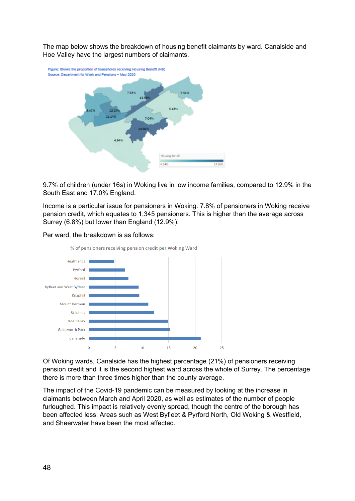The map below shows the breakdown of housing benefit claimants by ward. Canalside and Hoe Valley have the largest numbers of claimants.



9.7% of children (under 16s) in Woking live in low income families, compared to 12.9% in the South East and 17.0% England.

Income is a particular issue for pensioners in Woking. 7.8% of pensioners in Woking receive pension credit, which equates to 1,345 pensioners. This is higher than the average across Surrey (6.8%) but lower than England (12.9%).





Of Woking wards, Canalside has the highest percentage (21%) of pensioners receiving pension credit and it is the second highest ward across the whole of Surrey. The percentage there is more than three times higher than the county average.

The impact of the Covid-19 pandemic can be measured by looking at the increase in claimants between March and April 2020, as well as estimates of the number of people furloughed. This impact is relatively evenly spread, though the centre of the borough has been affected less. Areas such as West Byfleet & Pyrford North, Old Woking & Westfield, and Sheerwater have been the most affected.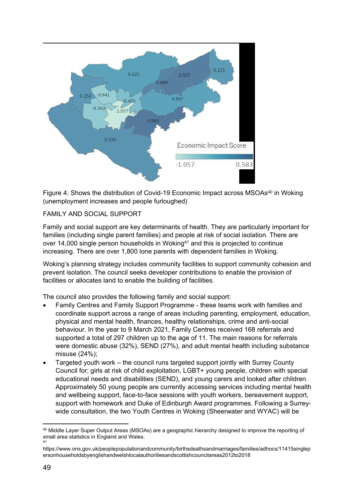

Figure 4: Shows the distribution of Covid-19 Economic Impact across MSOAs<sup>40</sup> in Woking (unemployment increases and people furloughed)

## FAMILY AND SOCIAL SUPPORT

Family and social support are key determinants of health. They are particularly important for families (including single parent families) and people at risk of social isolation. There are over 14,000 single person households in Woking<sup>41</sup> and this is projected to continue increasing. There are over 1,800 lone parents with dependent families in Woking.

Woking's planning strategy includes community facilities to support community cohesion and prevent isolation. The council seeks developer contributions to enable the provision of facilities or allocates land to enable the building of facilities.

The council also provides the following family and social support:

- Family Centres and Family Support Programme these teams work with families and coordinate support across a range of areas including parenting, employment, education, physical and mental health, finances, healthy relationships, crime and anti-social behaviour. In the year to 9 March 2021, Family Centres received 168 referrals and supported a total of 297 children up to the age of 11. The main reasons for referrals were domestic abuse (32%), SEND (27%), and adult mental health including substance misuse (24%);
- Targeted youth work the council runs targeted support jointly with Surrey County Council for; girls at risk of child exploitation, LGBT+ young people, children with special educational needs and disabilities (SEND), and young carers and looked after children. Approximately 50 young people are currently accessing services including mental health and wellbeing support, face-to-face sessions with youth workers, bereavement support, support with homework and Duke of Edinburgh Award programmes. Following a Surreywide consultation, the two Youth Centres in Woking (Sheerwater and WYAC) will be

<sup>40</sup> Middle Layer Super Output Areas (MSOAs) are a geographic hierarchy designed to improve the reporting of small area statistics in England and Wales.

<sup>41</sup>

[https://www.ons.gov.uk/peoplepopulationandcommunity/birthsdeathsandmarriages/families/adhocs/11415singlep](https://www.ons.gov.uk/peoplepopulationandcommunity/birthsdeathsandmarriages/families/adhocs/11415singlepersonhouseholdsbyenglishandwelshlocalauthoritiesandscottishcouncilareas2012to2018) [ersonhouseholdsbyenglishandwelshlocalauthoritiesandscottishcouncilareas2012to2018](https://www.ons.gov.uk/peoplepopulationandcommunity/birthsdeathsandmarriages/families/adhocs/11415singlepersonhouseholdsbyenglishandwelshlocalauthoritiesandscottishcouncilareas2012to2018)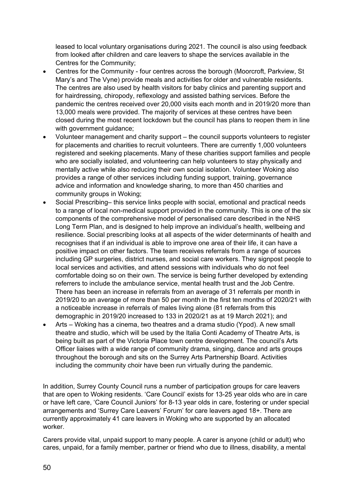leased to local voluntary organisations during 2021. The council is also using feedback from looked after children and care leavers to shape the services available in the Centres for the Community;

- Centres for the Community four centres across the borough (Moorcroft, Parkview, St Mary's and The Vyne) provide meals and activities for older and vulnerable residents. The centres are also used by health visitors for baby clinics and parenting support and for hairdressing, chiropody, reflexology and assisted bathing services. Before the pandemic the centres received over 20,000 visits each month and in 2019/20 more than 13,000 meals were provided. The majority of services at these centres have been closed during the most recent lockdown but the council has plans to reopen them in line with government guidance;
- Volunteer management and charity support the council supports volunteers to register for placements and charities to recruit volunteers. There are currently 1,000 volunteers registered and seeking placements. Many of these charities support families and people who are socially isolated, and volunteering can help volunteers to stay physically and mentally active while also reducing their own social isolation. Volunteer Woking also provides a range of other services including funding support, training, governance advice and information and knowledge sharing, to more than 450 charities and community groups in Woking;
- Social Prescribing– this service links people with social, emotional and practical needs to a range of local non-medical support provided in the community. This is one of the six components of the comprehensive model of personalised care described in the NHS Long Term Plan, and is designed to help improve an individual's health, wellbeing and resilience. Social prescribing looks at all aspects of the wider determinants of health and recognises that if an individual is able to improve one area of their life, it can have a positive impact on other factors. The team receives referrals from a range of sources including GP surgeries, district nurses, and social care workers. They signpost people to local services and activities, and attend sessions with individuals who do not feel comfortable doing so on their own. The service is being further developed by extending referrers to include the ambulance service, mental health trust and the Job Centre. There has been an increase in referrals from an average of 31 referrals per month in 2019/20 to an average of more than 50 per month in the first ten months of 2020/21 with a noticeable increase in referrals of males living alone (81 referrals from this demographic in 2019/20 increased to 133 in 2020/21 as at 19 March 2021); and
- Arts Woking has a cinema, two theatres and a drama studio (Ypod). A new small theatre and studio, which will be used by the Italia Conti Academy of Theatre Arts, is being built as part of the Victoria Place town centre development. The council's Arts Officer liaises with a wide range of community drama, singing, dance and arts groups throughout the borough and sits on the Surrey Arts Partnership Board. Activities including the community choir have been run virtually during the pandemic.

In addition, Surrey County Council runs a number of participation groups for care leavers that are open to Woking residents. 'Care Council' exists for 13-25 year olds who are in care or have left care, 'Care Council Juniors' for 8-13 year olds in care, fostering or under special arrangements and 'Surrey Care Leavers' Forum' for care leavers aged 18+. There are currently approximately 41 care leavers in Woking who are supported by an allocated worker.

Carers provide vital, unpaid support to many people. A carer is anyone (child or adult) who cares, unpaid, for a family member, partner or friend who due to illness, disability, a mental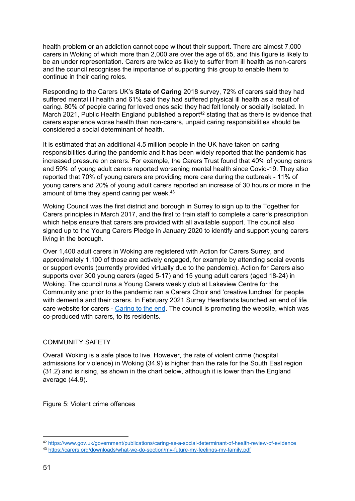health problem or an addiction cannot cope without their support. There are almost 7,000 carers in Woking of which more than 2,000 are over the age of 65, and this figure is likely to be an under representation. Carers are twice as likely to suffer from ill health as non-carers and the council recognises the importance of supporting this group to enable them to continue in their caring roles.

Responding to the Carers UK's **State of Caring** 2018 survey, 72% of carers said they had suffered mental ill health and 61% said they had suffered physical ill health as a result of caring. 80% of people caring for loved ones said they had felt lonely or socially isolated. In March 2021, Public Health England published a report<sup>42</sup> stating that as there is evidence that carers experience worse health than non-carers, unpaid caring responsibilities should be considered a social determinant of health.

It is estimated that an additional 4.5 million people in the UK have taken on caring responsibilities during the pandemic and it has been widely reported that the pandemic has increased pressure on carers. For example, the Carers Trust found that 40% of young carers and 59% of young adult carers reported worsening mental health since Covid-19. They also reported that 70% of young carers are providing more care during the outbreak - 11% of young carers and 20% of young adult carers reported an increase of 30 hours or more in the amount of time they spend caring per week.<sup>43</sup>

Woking Council was the first district and borough in Surrey to sign up to the Together for Carers principles in March 2017, and the first to train staff to complete a carer's prescription which helps ensure that carers are provided with all available support. The council also signed up to the Young Carers Pledge in January 2020 to identify and support young carers living in the borough.

Over 1,400 adult carers in Woking are registered with Action for Carers Surrey, and approximately 1,100 of those are actively engaged, for example by attending social events or support events (currently provided virtually due to the pandemic). Action for Carers also supports over 300 young carers (aged 5-17) and 15 young adult carers (aged 18-24) in Woking. The council runs a Young Carers weekly club at Lakeview Centre for the Community and prior to the pandemic ran a Carers Choir and 'creative lunches' for people with dementia and their carers. In February 2021 Surrey Heartlands launched an end of life care website for carers - [Caring](http://webdefence.global.blackspider.com/urlwrap/?q=AXicE3RnYHzPwDDrBgNDUU6lqVGKXnFRmV5uYmZOcn5eSVF-jl5yfi6DoaGfY2hipJGBiYmFgTlDVmlOZqpebmpuqkN5fnZmXrpeen6ZXmk2Q0ZJSUGxlb5-eXm5XnJiEVCmJL8kIzU1L0Uvvyhdn4GBofYOAwMAqLImew&Z) to the end. The council is promoting the website, which was co-produced with carers, to its residents.

## COMMUNITY SAFETY

Overall Woking is a safe place to live. However, the rate of violent crime (hospital admissions for violence) in Woking (34.9) is higher than the rate for the South East region (31.2) and is rising, as shown in the chart below, although it is lower than the England average (44.9).

Figure 5: Violent crime offences

<sup>42</sup> <https://www.gov.uk/government/publications/caring-as-a-social-determinant-of-health-review-of-evidence>

<sup>43</sup> <https://carers.org/downloads/what-we-do-section/my-future-my-feelings-my-family.pdf>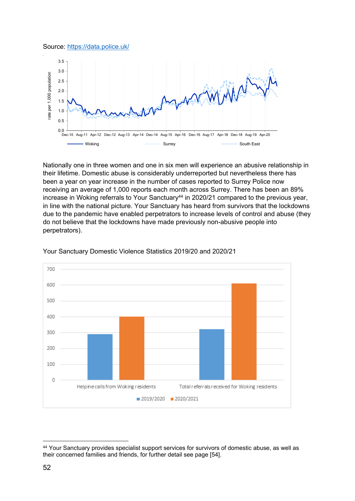#### Source: [https://data.police.uk/](http://www.police.co.uk/)



Nationally one in three women and one in six men will experience an abusive relationship in their lifetime. Domestic abuse is considerably underreported but nevertheless there has been a year on year increase in the number of cases reported to Surrey Police now receiving an average of 1,000 reports each month across Surrey. There has been an 89% increase in Woking referrals to Your Sanctuary<sup>44</sup> in 2020/21 compared to the previous year, in line with the national picture. Your Sanctuary has heard from survivors that the lockdowns due to the pandemic have enabled perpetrators to increase levels of control and abuse (they do not believe that the lockdowns have made previously non-abusive people into perpetrators).



#### Your Sanctuary Domestic Violence Statistics 2019/20 and 2020/21

<sup>44</sup> Your Sanctuary provides specialist support services for survivors of domestic abuse, as well as their concerned families and friends, for further detail see page [54].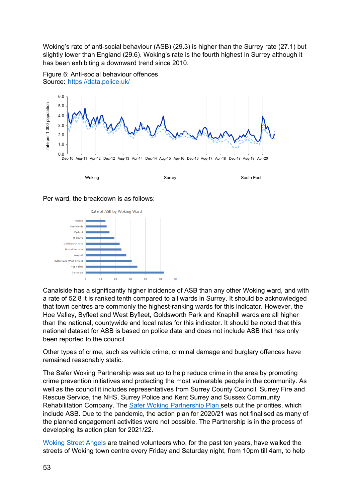Woking's rate of anti-social behaviour (ASB) (29.3) is higher than the Surrey rate (27.1) but slightly lower than England (29.6). Woking's rate is the fourth highest in Surrey although it has been exhibiting a downward trend since 2010.



Figure 6: Anti-social behaviour offences Source: [https://data.police.uk/](http://www.police.co.uk/)

Per ward, the breakdown is as follows:



Canalside has a significantly higher incidence of ASB than any other Woking ward, and with a rate of 52.8 it is ranked tenth compared to all wards in Surrey. It should be acknowledged that town centres are commonly the highest-ranking wards for this indicator. However, the Hoe Valley, Byfleet and West Byfleet, Goldsworth Park and Knaphill wards are all higher than the national, countywide and local rates for this indicator. It should be noted that this national dataset for ASB is based on police data and does not include ASB that has only been reported to the council.

Other types of crime, such as vehicle crime, criminal damage and burglary offences have remained reasonably static.

The Safer Woking Partnership was set up to help reduce crime in the area by promoting crime prevention initiatives and protecting the most vulnerable people in the community. As well as the council it includes representatives from Surrey County Council, Surrey Fire and Rescue Service, the NHS, Surrey Police and Kent Surrey and Sussex Community Rehabilitation Company. The Safer Woking [Partnership](https://www.woking.gov.uk/sites/default/files/documents/community/communitysafety/Safer%20Woking%20Partnership%20Plan%202019-2022.pdf) Plan sets out the priorities, which include ASB. Due to the pandemic, the action plan for 2020/21 was not finalised as many of the planned engagement activities were not possible. The Partnership is in the process of developing its action plan for 2021/22.

[Woking](https://www.wokingstreetangels.org.uk/) Street Angels are trained volunteers who, for the past ten years, have walked the streets of Woking town centre every Friday and Saturday night, from 10pm till 4am, to help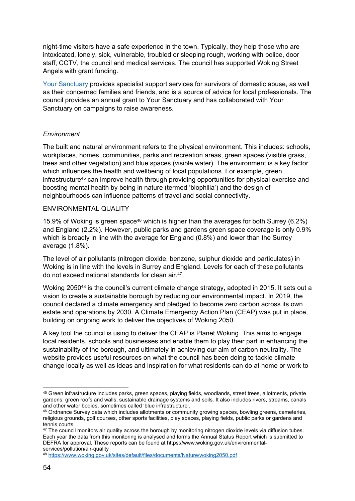night-time visitors have a safe experience in the town. Typically, they help those who are intoxicated, lonely, sick, vulnerable, troubled or sleeping rough, working with police, door staff, CCTV, the council and medical services. The council has supported Woking Street Angels with grant funding.

Your [Sanctuary](https://www.yoursanctuary.org.uk/) provides specialist support services for survivors of domestic abuse, as well as their concerned families and friends, and is a source of advice for local professionals. The council provides an annual grant to Your Sanctuary and has collaborated with Your Sanctuary on campaigns to raise awareness.

#### *Environment*

The built and natural environment refers to the physical environment. This includes: schools, workplaces, homes, communities, parks and recreation areas, green spaces (visible grass, trees and other vegetation) and blue spaces (visible water). The environment is a key factor which influences the health and wellbeing of local populations. For example, green infrastructure<sup>45</sup> can improve health through providing opportunities for physical exercise and boosting mental health by being in nature (termed 'biophilia') and the design of neighbourhoods can influence patterns of travel and social connectivity.

#### ENVIRONMENTAL QUALITY

15.9% of Woking is green space<sup>46</sup> which is higher than the averages for both Surrey (6.2%) and England (2.2%). However, public parks and gardens green space coverage is only 0.9% which is broadly in line with the average for England (0.8%) and lower than the Surrey average (1.8%).

The level of air pollutants (nitrogen dioxide, benzene, sulphur dioxide and particulates) in Woking is in line with the levels in Surrey and England. Levels for each of these pollutants do not exceed national standards for clean air.<sup>47</sup>

Woking 2050<sup>48</sup> is the council's current climate change strategy, adopted in 2015. It sets out a vision to create a sustainable borough by reducing our environmental impact. In 2019, the council declared a climate emergency and pledged to become zero carbon across its own estate and operations by 2030. A Climate Emergency Action Plan (CEAP) was put in place, building on ongoing work to deliver the objectives of Woking 2050.

A key tool the council is using to deliver the CEAP is Planet Woking. This aims to engage local residents, schools and businesses and enable them to play their part in enhancing the sustainability of the borough, and ultimately in achieving our aim of carbon neutrality. The website provides useful resources on what the council has been doing to tackle climate change locally as well as ideas and inspiration for what residents can do at home or work to

<sup>45</sup> Green infrastructure includes parks, green spaces, playing fields, woodlands, street trees, allotments, private gardens, green roofs and walls, sustainable drainage systems and soils. It also includes rivers, streams, canals and other water bodies, sometimes called 'blue infrastructure'.

<sup>46</sup> Ordnance Survey data which includes allotments or community growing spaces, bowling greens, cemeteries, religious grounds, golf courses, other sports facilities, play spaces, playing fields, public parks or gardens and tennis courts.

<sup>&</sup>lt;sup>47</sup> The council monitors air quality across the borough by monitoring nitrogen dioxide levels via diffusion tubes. Each year the data from this monitoring is analysed and forms the Annual Status Report which is submitted to DEFRA for approval. These reports can be found at [https://www.woking.gov.uk/environmental](https://www.woking.gov.uk/environmental-services/pollution/air-quality)[services/pollution/air-quality](https://www.woking.gov.uk/environmental-services/pollution/air-quality)

<sup>48</sup> <https://www.woking.gov.uk/sites/default/files/documents/Nature/woking2050.pdf>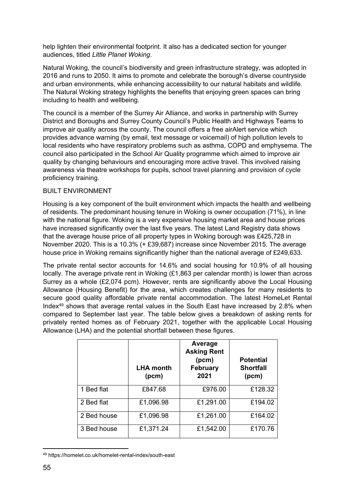help lighten their environmental footprint. It also has a dedicated section for younger audiences, titled *Little Planet Woking*.

Natural Woking, the council's biodiversity and green infrastructure strategy, was adopted in 2016 and runs to 2050. It aims to promote and celebrate the borough's diverse countryside and urban environments, while enhancing accessibility to our natural habitats and wildlife. The Natural Woking strategy highlights the benefits that enjoying green spaces can bring including to health and wellbeing.

The council is a member of the Surrey Air Alliance, and works in partnership with Surrey District and Boroughs and Surrey County Council's Public Health and Highways Teams to improve air quality across the county. The council offers a free airAlert service which provides advance warning (by email, text message or voicemail) of high pollution levels to local residents who have respiratory problems such as asthma, COPD and emphysema. The council also participated in the School Air Quality programme which aimed to improve air quality by changing behaviours and encouraging more active travel. This involved raising awareness via theatre workshops for pupils, school travel planning and provision of cycle proficiency training.

#### BUILT ENVIRONMENT

Housing is a key component of the built environment which impacts the health and wellbeing of residents. The predominant housing tenure in Woking is owner occupation (71%), in line with the national figure. Woking is a very expensive housing market area and house prices have increased significantly over the last five years. The latest Land Registry data shows that the average house price of all property types in Woking borough was £425,728 in November 2020. This is a 10.3% (+ £39,687) increase since November 2015. The average house price in Woking remains significantly higher than the national average of £249,633.

The private rental sector accounts for 14.6% and social housing for 10.9% of all housing locally. The average private rent in Woking (£1,863 per calendar month) is lower than across Surrey as a whole (£2,074 pcm). However, rents are significantly above the Local Housing Allowance (Housing Benefit) for the area, which creates challenges for many residents to secure good quality affordable private rental accommodation. The latest HomeLet Rental Index<sup>49</sup> shows that average rental values in the South East have increased by 2.8% when compared to September last year. The table below gives a breakdown of asking rents for privately rented homes as of February 2021, together with the applicable Local Housing Allowance (LHA) and the potential shortfall between these figures.

|             | <b>LHA month</b><br>(pcm) | Average<br><b>Asking Rent</b><br>(pcm)<br><b>February</b><br>2021 | <b>Potential</b><br><b>Shortfall</b><br>(pcm) |
|-------------|---------------------------|-------------------------------------------------------------------|-----------------------------------------------|
| 1 Bed flat  | £847.68                   | £976.00                                                           | £128.32                                       |
| 2 Bed flat  | £1,096.98                 | £1,291.00                                                         | £194.02                                       |
| 2 Bed house | £1,096.98                 | £1,261.00                                                         | £164.02                                       |
| 3 Bed house | £1,371.24                 | £1,542.00                                                         | £170.76                                       |

<sup>49</sup> https://homelet.co.uk/homelet-rental-index/south-east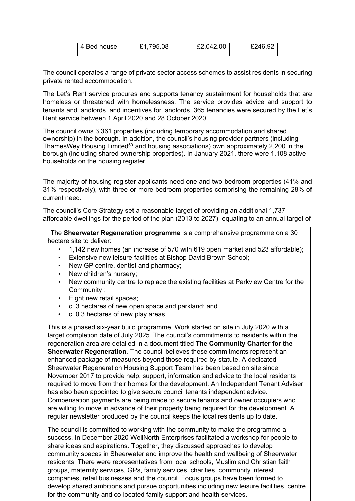| 4 Bed house | £1,795.08 | £2,042.00 | £246.92 |
|-------------|-----------|-----------|---------|
|             |           |           |         |

The council operates a range of private sector access schemes to assist residents in securing private rented accommodation.

The Let's Rent service procures and supports tenancy sustainment for households that are homeless or threatened with homelessness. The service provides advice and support to tenants and landlords, and incentives for landlords. 365 tenancies were secured by the Let's Rent service between 1 April 2020 and 28 October 2020.

The council owns 3,361 properties (including temporary accommodation and shared ownership) in the borough. In addition, the council's housing provider partners (including ThamesWey Housing Limited<sup>50</sup> and housing associations) own approximately 2,200 in the borough (including shared ownership properties). In January 2021, there were 1,108 active households on the housing register.

The majority of housing register applicants need one and two bedroom properties (41% and 31% respectively), with three or more bedroom properties comprising the remaining 28% of current need.

The council's Core Strategy set a reasonable target of providing an additional 1,737 affordable dwellings for the period of the plan (2013 to 2027), equating to an annual target of

The **Sheerwater Regeneration programme** is a comprehensive programme on a 30 hectare site to deliver:

- 1,142 new homes (an increase of 570 with 619 open market and 523 affordable);
- Extensive new leisure facilities at Bishop David Brown School;
- New GP centre, dentist and pharmacy;
- New children's nursery;
- New community centre to replace the existing facilities at Parkview Centre for the Community ;
- Eight new retail spaces;
- c. 3 hectares of new open space and parkland; and
- c. 0.3 hectares of new play areas.

This is a phased six-year build programme. Work started on site in July 2020 with a target completion date of July 2025. The council's commitments to residents within the regeneration area are detailed in a document titled **The Community Charter for the Sheerwater Regeneration**. The council believes these commitments represent an enhanced package of measures beyond those required by statute. A dedicated Sheerwater Regeneration Housing Support Team has been based on site since November 2017 to provide help, support, information and advice to the local residents required to move from their homes for the development. An Independent Tenant Adviser has also been appointed to give secure council tenants independent advice. Compensation payments are being made to secure tenants and owner occupiers who are willing to move in advance of their property being required for the development. A regular newsletter produced by the council keeps the local residents up to date.

groups, maternity services, GPs, family services, charities, community interest  $\frac{1}{2}$  chara ideas and aspirations. Together, they discussed approaches to develop share ideas and aspirations. Together, they discussed approaches to develop  $\vert$  community spaces in Sheerwater and improve the health and wellbeing of Sheerwater The council is committed to working with the community to make the programme a success. In December 2020 WellNorth Enterprises facilitated a workshop for people to residents. There were representatives from local schools, Muslim and Christian faith companies, retail businesses and the council. Focus groups have been formed to develop shared ambitions and pursue opportunities including new leisure facilities, centre for the community and co-located family support and health services.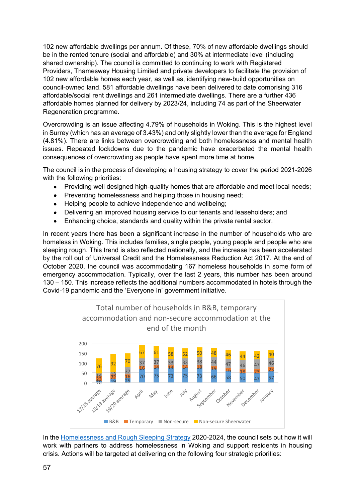102 new affordable dwellings per annum. Of these, 70% of new affordable dwellings should be in the rented tenure (social and affordable) and 30% at intermediate level (including shared ownership). The council is committed to continuing to work with Registered Providers, Thameswey Housing Limited and private developers to facilitate the provision of 102 new affordable homes each year, as well as, identifying new-build opportunities on council-owned land. 581 affordable dwellings have been delivered to date comprising 316 affordable/social rent dwellings and 261 intermediate dwellings. There are a further 436 affordable homes planned for delivery by 2023/24, including 74 as part of the Sheerwater Regeneration programme.

Overcrowding is an issue affecting 4.79% of households in Woking. This is the highest level in Surrey (which has an average of 3.43%) and only slightly lower than the average for England (4.81%). There are links between overcrowding and both homelessness and mental health issues. Repeated lockdowns due to the pandemic have exacerbated the mental health consequences of overcrowding as people have spent more time at home.

The council is in the process of developing a housing strategy to cover the period 2021-2026 with the following priorities:

- Providing well designed high-quality homes that are affordable and meet local needs:
- Preventing homelessness and helping those in housing need;
- Helping people to achieve independence and wellbeing;
- Delivering an improved housing service to our tenants and leaseholders; and
- Enhancing choice, standards and quality within the private rental sector.

In recent years there has been a significant increase in the number of households who are homeless in Woking. This includes families, single people, young people and people who are sleeping rough. This trend is also reflected nationally, and the increase has been accelerated by the roll out of Universal Credit and the Homelessness Reduction Act 2017. At the end of October 2020, the council was accommodating 167 homeless households in some form of emergency accommodation. Typically, over the last 2 years, this number has been around 130 – 150. This increase reflects the additional numbers accommodated in hotels through the Covid-19 pandemic and the 'Everyone In' government initiative.



In the [Homelessness](https://moderngov.woking.gov.uk/documents/s10721/EXE20-007%20Homelessness%20and%20Rough%20Sleeping%20Strategy.pdf) and Rough Sleeping Strategy 2020-2024, the council sets out how it will work with partners to address homelessness in Woking and support residents in housing crisis. Actions will be targeted at delivering on the following four strategic priorities: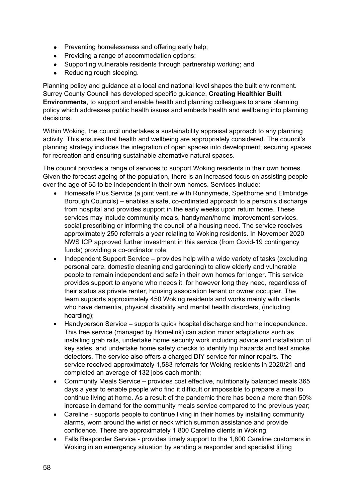- Preventing homelessness and offering early help;
- Providing a range of accommodation options;
- Supporting vulnerable residents through partnership working; and
- Reducing rough sleeping.

Planning policy and guidance at a local and national level shapes the built environment. Surrey County Council has developed specific guidance, **Creating Healthier Built Environments**, to support and enable health and planning colleagues to share planning policy which addresses public health issues and embeds health and wellbeing into planning decisions.

Within Woking, the council undertakes a sustainability appraisal approach to any planning activity. This ensures that health and wellbeing are appropriately considered. The council's planning strategy includes the integration of open spaces into development, securing spaces for recreation and ensuring sustainable alternative natural spaces.

The council provides a range of services to support Woking residents in their own homes. Given the forecast ageing of the population, there is an increased focus on assisting people over the age of 65 to be independent in their own homes. Services include:

- Homesafe Plus Service (a joint venture with Runnymede, Spelthorne and Elmbridge Borough Councils) – enables a safe, co-ordinated approach to a person's discharge from hospital and provides support in the early weeks upon return home. These services may include community meals, handyman/home improvement services, social prescribing or informing the council of a housing need. The service receives approximately 250 referrals a year relating to Woking residents. In November 2020 NWS ICP approved further investment in this service (from Covid-19 contingency funds) providing a co-ordinator role;
- Independent Support Service provides help with a wide variety of tasks (excluding personal care, domestic cleaning and gardening) to allow elderly and vulnerable people to remain independent and safe in their own homes for longer. This service provides support to anyone who needs it, for however long they need, regardless of their status as private renter, housing association tenant or owner occupier. The team supports approximately 450 Woking residents and works mainly with clients who have dementia, physical disability and mental health disorders, (including hoarding);
- Handyperson Service supports quick hospital discharge and home independence. This free service (managed by Homelink) can action minor adaptations such as installing grab rails, undertake home security work including advice and installation of key safes, and undertake home safety checks to identify trip hazards and test smoke detectors. The service also offers a charged DIY service for minor repairs. The service received approximately 1,583 referrals for Woking residents in 2020/21 and completed an average of 132 jobs each month;
- Community Meals Service provides cost effective, nutritionally balanced meals 365 days a year to enable people who find it difficult or impossible to prepare a meal to continue living at home. As a result of the pandemic there has been a more than 50% increase in demand for the community meals service compared to the previous year;
- Careline supports people to continue living in their homes by installing community alarms, worn around the wrist or neck which summon assistance and provide confidence. There are approximately 1,800 Careline clients in Woking;
- Falls Responder Service provides timely support to the 1,800 Careline customers in Woking in an emergency situation by sending a responder and specialist lifting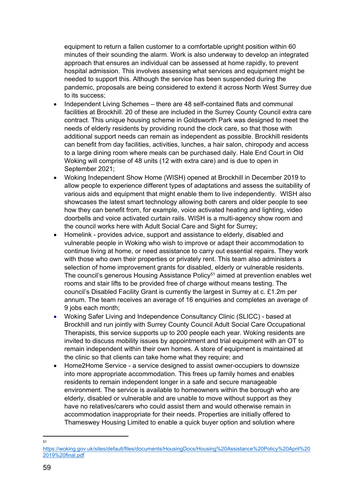equipment to return a fallen customer to a comfortable upright position within 60 minutes of their sounding the alarm. Work is also underway to develop an integrated approach that ensures an individual can be assessed at home rapidly, to prevent hospital admission. This involves assessing what services and equipment might be needed to support this. Although the service has been suspended during the pandemic, proposals are being considered to extend it across North West Surrey due to its success;

- Independent Living Schemes there are 48 self-contained flats and communal facilities at Brockhill. 20 of these are included in the Surrey County Council extra care contract. This unique housing scheme in Goldsworth Park was designed to meet the needs of elderly residents by providing round the clock care, so that those with additional support needs can remain as independent as possible. Brockhill residents can benefit from day facilities, activities, lunches, a hair salon, chiropody and access to a large dining room where meals can be purchased daily. Hale End Court in Old Woking will comprise of 48 units (12 with extra care) and is due to open in September 2021;
- Woking Independent Show Home (WISH) opened at Brockhill in December 2019 to allow people to experience different types of adaptations and assess the suitability of various aids and equipment that might enable them to live independently. WISH also showcases the latest smart technology allowing both carers and older people to see how they can benefit from, for example, voice activated heating and lighting, video doorbells and voice activated curtain rails. WISH is a multi-agency show room and the council works here with Adult Social Care and Sight for Surrey;
- Homelink provides advice, support and assistance to elderly, disabled and vulnerable people in Woking who wish to improve or adapt their accommodation to continue living at home, or need assistance to carry out essential repairs. They work with those who own their properties or privately rent. This team also administers a selection of home improvement grants for disabled, elderly or vulnerable residents. The council's generous Housing Assistance Policy<sup>51</sup> aimed at prevention enables wet rooms and stair lifts to be provided free of charge without means testing. The council's Disabled Facility Grant is currently the largest in Surrey at c. £1.2m per annum. The team receives an average of 16 enquiries and completes an average of 9 jobs each month;
- Woking Safer Living and Independence Consultancy Clinic (SLICC) based at Brockhill and run jointly with Surrey County Council Adult Social Care Occupational Therapists, this service supports up to 200 people each year. Woking residents are invited to discuss mobility issues by appointment and trial equipment with an OT to remain independent within their own homes. A store of equipment is maintained at the clinic so that clients can take home what they require; and
- Home2Home Service a service designed to assist owner-occupiers to downsize into more appropriate accommodation. This frees up family homes and enables residents to remain independent longer in a safe and secure manageable environment. The service is available to homeowners within the borough who are elderly, disabled or vulnerable and are unable to move without support as they have no relatives/carers who could assist them and would otherwise remain in accommodation inappropriate for their needs. Properties are initially offered to Thameswey Housing Limited to enable a quick buyer option and solution where

<sup>51</sup>

[https://woking.gov.uk/sites/default/files/documents/HousingDocs/Housing%20Assistance%20Policy%20April%20](https://woking.gov.uk/sites/default/files/documents/HousingDocs/Housing%20Assistance%20Policy%20April%202019%20final.pdf) [2019%20final.pdf](https://woking.gov.uk/sites/default/files/documents/HousingDocs/Housing%20Assistance%20Policy%20April%202019%20final.pdf)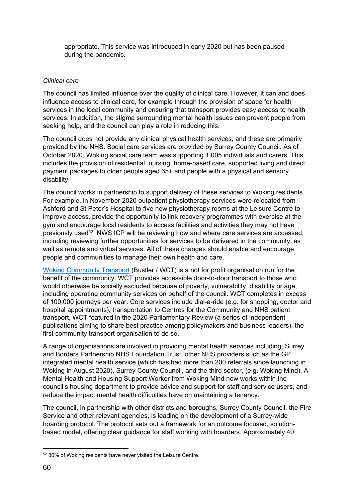appropriate. This service was introduced in early 2020 but has been paused during the pandemic.

#### *Clinical care*

The council has limited influence over the quality of clinical care. However, it can and does influence access to clinical care, for example through the provision of space for health services in the local community and ensuring that transport provides easy access to health services. In addition, the stigma surrounding mental health issues can prevent people from seeking help, and the council can play a role in reducing this.

The council does not provide any clinical physical health services, and these are primarily provided by the NHS. Social care services are provided by Surrey County Council. As of October 2020, Woking social care team was supporting 1,005 individuals and carers. This includes the provision of residential, nursing, home-based care, supported living and direct payment packages to older people aged 65+ and people with a physical and sensory disability.

The council works in partnership to support delivery of these services to Woking residents. For example, in November 2020 outpatient physiotherapy services were relocated from Ashford and St Peter's Hospital to five new physiotherapy rooms at the Leisure Centre to improve access, provide the opportunity to link recovery programmes with exercise at the gym and encourage local residents to access facilities and activities they may not have previously used<sup>52</sup>. NWS ICP will be reviewing how and where care services are accessed, including reviewing further opportunities for services to be delivered in the community, as well as remote and virtual services. All of these changes should enable and encourage people and communities to manage their own health and care.

Woking [Community](https://www.wokingbustler.org.uk/) Transport (Bustler / WCT) is a not for profit organisation run for the benefit of the community. WCT provides accessible door-to-door transport to those who would otherwise be socially excluded because of poverty, vulnerability, disability or age, including operating community services on behalf of the council. WCT completes in excess of 100,000 journeys per year. Core services include dial-a-ride (e.g. for shopping, doctor and hospital appointments), transportation to Centres for the Community and NHS patient transport. WCT featured in the 2020 Parliamentary Review (a series of independent publications aiming to share best practice among policymakers and business leaders), the first community transport organisation to do so.

A range of organisations are involved in providing mental health services including; Surrey and Borders Partnership NHS Foundation Trust, other NHS providers such as the GP integrated mental health service (which has had more than 200 referrals since launching in Woking in August 2020), Surrey County Council, and the third sector, (e.g. Woking Mind). A Mental Health and Housing Support Worker from Woking Mind now works within the council's housing department to provide advice and support for staff and service users, and reduce the impact mental health difficulties have on maintaining a tenancy.

The council, in partnership with other districts and boroughs, Surrey County Council, the Fire Service and other relevant agencies, is leading on the development of a Surrey-wide hoarding protocol. The protocol sets out a framework for an outcome focused, solutionbased model, offering clear guidance for staff working with hoarders. Approximately 40

<sup>52</sup> 30% of Woking residents have never visited the Leisure Centre.